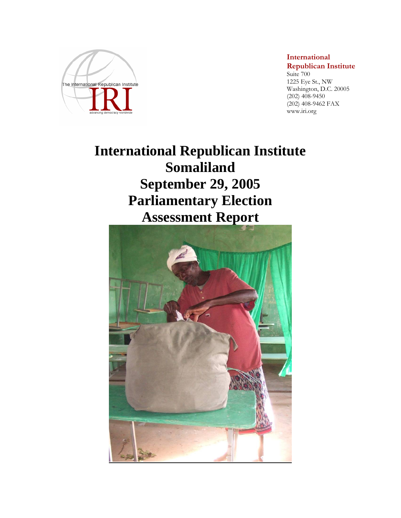

**International Republican Institute**  Suite 700

1225 Eye St., NW Washington, D.C. 20005 (202) 408-9450 (202) 408-9462 FAX www.iri.org

# **International Republican Institute Somaliland September 29, 2005 Parliamentary Election Assessment Report**

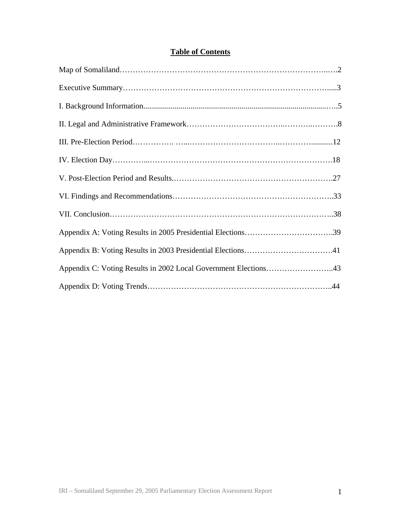## **Table of Contents**

| Appendix C: Voting Results in 2002 Local Government Elections43 |
|-----------------------------------------------------------------|
|                                                                 |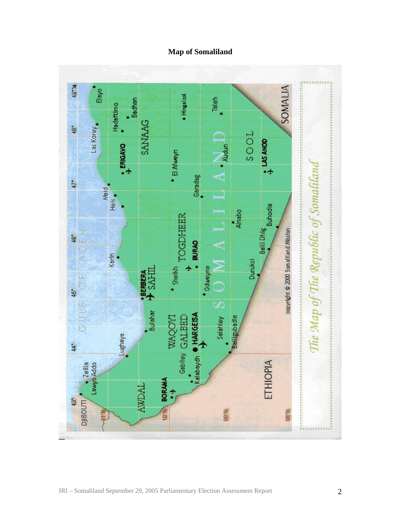## **Map of Somaliland**

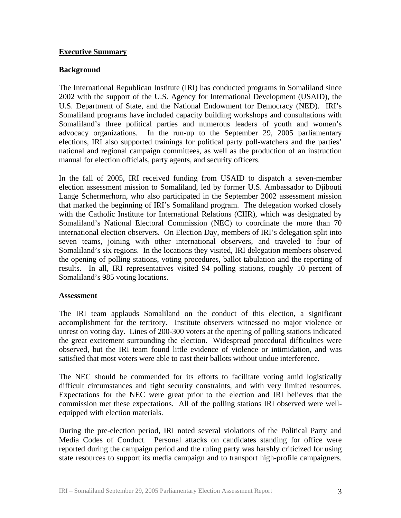### **Executive Summary**

## **Background**

The International Republican Institute (IRI) has conducted programs in Somaliland since 2002 with the support of the U.S. Agency for International Development (USAID), the U.S. Department of State, and the National Endowment for Democracy (NED). IRI's Somaliland programs have included capacity building workshops and consultations with Somaliland's three political parties and numerous leaders of youth and women's advocacy organizations. In the run-up to the September 29, 2005 parliamentary elections, IRI also supported trainings for political party poll-watchers and the parties' national and regional campaign committees, as well as the production of an instruction manual for election officials, party agents, and security officers.

In the fall of 2005, IRI received funding from USAID to dispatch a seven-member election assessment mission to Somaliland, led by former U.S. Ambassador to Djibouti Lange Schermerhorn, who also participated in the September 2002 assessment mission that marked the beginning of IRI's Somaliland program. The delegation worked closely with the Catholic Institute for International Relations (CIIR), which was designated by Somaliland's National Electoral Commission (NEC) to coordinate the more than 70 international election observers. On Election Day, members of IRI's delegation split into seven teams, joining with other international observers, and traveled to four of Somaliland's six regions. In the locations they visited, IRI delegation members observed the opening of polling stations, voting procedures, ballot tabulation and the reporting of results. In all, IRI representatives visited 94 polling stations, roughly 10 percent of Somaliland's 985 voting locations.

#### **Assessment**

The IRI team applauds Somaliland on the conduct of this election, a significant accomplishment for the territory. Institute observers witnessed no major violence or unrest on voting day. Lines of 200-300 voters at the opening of polling stations indicated the great excitement surrounding the election. Widespread procedural difficulties were observed, but the IRI team found little evidence of violence or intimidation, and was satisfied that most voters were able to cast their ballots without undue interference.

The NEC should be commended for its efforts to facilitate voting amid logistically difficult circumstances and tight security constraints, and with very limited resources. Expectations for the NEC were great prior to the election and IRI believes that the commission met these expectations. All of the polling stations IRI observed were wellequipped with election materials.

During the pre-election period, IRI noted several violations of the Political Party and Media Codes of Conduct. Personal attacks on candidates standing for office were reported during the campaign period and the ruling party was harshly criticized for using state resources to support its media campaign and to transport high-profile campaigners.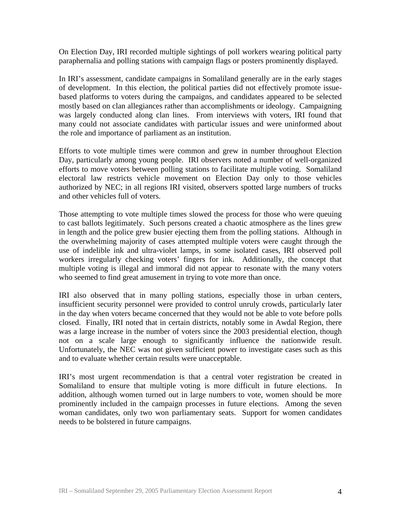On Election Day, IRI recorded multiple sightings of poll workers wearing political party paraphernalia and polling stations with campaign flags or posters prominently displayed.

In IRI's assessment, candidate campaigns in Somaliland generally are in the early stages of development. In this election, the political parties did not effectively promote issuebased platforms to voters during the campaigns, and candidates appeared to be selected mostly based on clan allegiances rather than accomplishments or ideology. Campaigning was largely conducted along clan lines. From interviews with voters, IRI found that many could not associate candidates with particular issues and were uninformed about the role and importance of parliament as an institution.

Efforts to vote multiple times were common and grew in number throughout Election Day, particularly among young people. IRI observers noted a number of well-organized efforts to move voters between polling stations to facilitate multiple voting. Somaliland electoral law restricts vehicle movement on Election Day only to those vehicles authorized by NEC; in all regions IRI visited, observers spotted large numbers of trucks and other vehicles full of voters.

Those attempting to vote multiple times slowed the process for those who were queuing to cast ballots legitimately. Such persons created a chaotic atmosphere as the lines grew in length and the police grew busier ejecting them from the polling stations. Although in the overwhelming majority of cases attempted multiple voters were caught through the use of indelible ink and ultra-violet lamps, in some isolated cases, IRI observed poll workers irregularly checking voters' fingers for ink. Additionally, the concept that multiple voting is illegal and immoral did not appear to resonate with the many voters who seemed to find great amusement in trying to vote more than once.

IRI also observed that in many polling stations, especially those in urban centers, insufficient security personnel were provided to control unruly crowds, particularly later in the day when voters became concerned that they would not be able to vote before polls closed. Finally, IRI noted that in certain districts, notably some in Awdal Region, there was a large increase in the number of voters since the 2003 presidential election, though not on a scale large enough to significantly influence the nationwide result. Unfortunately, the NEC was not given sufficient power to investigate cases such as this and to evaluate whether certain results were unacceptable.

IRI's most urgent recommendation is that a central voter registration be created in Somaliland to ensure that multiple voting is more difficult in future elections. In addition, although women turned out in large numbers to vote, women should be more prominently included in the campaign processes in future elections. Among the seven woman candidates, only two won parliamentary seats. Support for women candidates needs to be bolstered in future campaigns.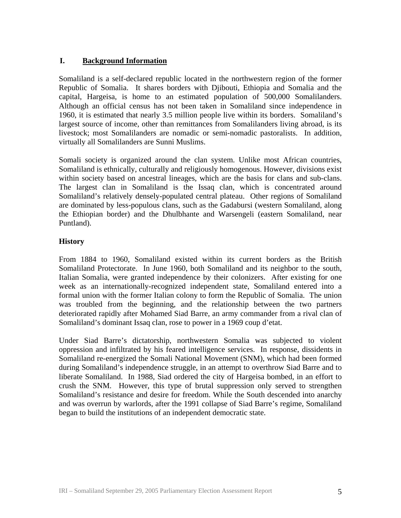## **I. Background Information**

Somaliland is a self-declared republic located in the northwestern region of the former Republic of Somalia. It shares borders with Djibouti, Ethiopia and Somalia and the capital, Hargeisa, is home to an estimated population of 500,000 Somalilanders. Although an official census has not been taken in Somaliland since independence in 1960, it is estimated that nearly 3.5 million people live within its borders. Somaliland's largest source of income, other than remittances from Somalilanders living abroad, is its livestock; most Somalilanders are nomadic or semi-nomadic pastoralists. In addition, virtually all Somalilanders are Sunni Muslims.

Somali society is organized around the clan system. Unlike most African countries, Somaliland is ethnically, culturally and religiously homogenous. However, divisions exist within society based on ancestral lineages, which are the basis for clans and sub-clans. The largest clan in Somaliland is the Issaq clan, which is concentrated around Somaliland's relatively densely-populated central plateau. Other regions of Somaliland are dominated by less-populous clans, such as the Gadabursi (western Somaliland, along the Ethiopian border) and the Dhulbhante and Warsengeli (eastern Somaliland, near Puntland).

## **History**

From 1884 to 1960, Somaliland existed within its current borders as the British Somaliland Protectorate. In June 1960, both Somaliland and its neighbor to the south, Italian Somalia, were granted independence by their colonizers. After existing for one week as an internationally-recognized independent state, Somaliland entered into a formal union with the former Italian colony to form the Republic of Somalia. The union was troubled from the beginning, and the relationship between the two partners deteriorated rapidly after Mohamed Siad Barre, an army commander from a rival clan of Somaliland's dominant Issaq clan, rose to power in a 1969 coup d'etat.

Under Siad Barre's dictatorship, northwestern Somalia was subjected to violent oppression and infiltrated by his feared intelligence services. In response, dissidents in Somaliland re-energized the Somali National Movement (SNM), which had been formed during Somaliland's independence struggle, in an attempt to overthrow Siad Barre and to liberate Somaliland. In 1988, Siad ordered the city of Hargeisa bombed, in an effort to crush the SNM. However, this type of brutal suppression only served to strengthen Somaliland's resistance and desire for freedom. While the South descended into anarchy and was overrun by warlords, after the 1991 collapse of Siad Barre's regime, Somaliland began to build the institutions of an independent democratic state.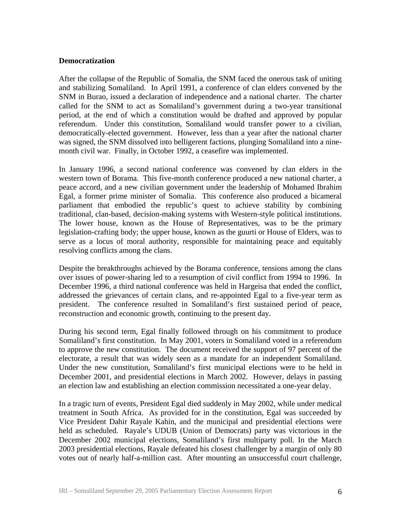#### **Democratization**

After the collapse of the Republic of Somalia, the SNM faced the onerous task of uniting and stabilizing Somaliland. In April 1991, a conference of clan elders convened by the SNM in Burao, issued a declaration of independence and a national charter. The charter called for the SNM to act as Somaliland's government during a two-year transitional period, at the end of which a constitution would be drafted and approved by popular referendum. Under this constitution, Somaliland would transfer power to a civilian, democratically-elected government. However, less than a year after the national charter was signed, the SNM dissolved into belligerent factions, plunging Somaliland into a ninemonth civil war. Finally, in October 1992, a ceasefire was implemented.

In January 1996, a second national conference was convened by clan elders in the western town of Borama. This five-month conference produced a new national charter, a peace accord, and a new civilian government under the leadership of Mohamed Ibrahim Egal, a former prime minister of Somalia. This conference also produced a bicameral parliament that embodied the republic's quest to achieve stability by combining traditional, clan-based, decision-making systems with Western-style political institutions. The lower house, known as the House of Representatives, was to be the primary legislation-crafting body; the upper house, known as the guurti or House of Elders, was to serve as a locus of moral authority, responsible for maintaining peace and equitably resolving conflicts among the clans.

Despite the breakthroughs achieved by the Borama conference, tensions among the clans over issues of power-sharing led to a resumption of civil conflict from 1994 to 1996. In December 1996, a third national conference was held in Hargeisa that ended the conflict, addressed the grievances of certain clans, and re-appointed Egal to a five-year term as president. The conference resulted in Somaliland's first sustained period of peace, reconstruction and economic growth, continuing to the present day.

During his second term, Egal finally followed through on his commitment to produce Somaliland's first constitution. In May 2001, voters in Somaliland voted in a referendum to approve the new constitution. The document received the support of 97 percent of the electorate, a result that was widely seen as a mandate for an independent Somaliland. Under the new constitution, Somaliland's first municipal elections were to be held in December 2001, and presidential elections in March 2002. However, delays in passing an election law and establishing an election commission necessitated a one-year delay.

In a tragic turn of events, President Egal died suddenly in May 2002, while under medical treatment in South Africa. As provided for in the constitution, Egal was succeeded by Vice President Dahir Rayale Kahin, and the municipal and presidential elections were held as scheduled. Rayale's UDUB (Union of Democrats) party was victorious in the December 2002 municipal elections, Somaliland's first multiparty poll. In the March 2003 presidential elections, Rayale defeated his closest challenger by a margin of only 80 votes out of nearly half-a-million cast. After mounting an unsuccessful court challenge,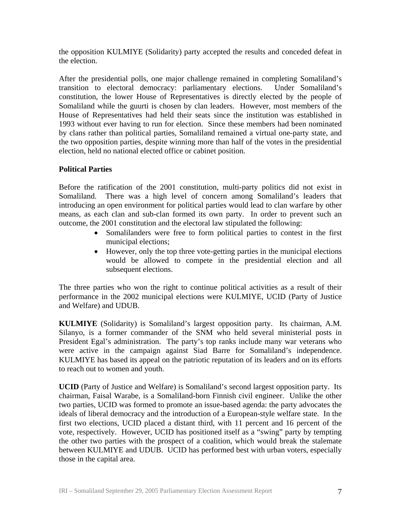the opposition KULMIYE (Solidarity) party accepted the results and conceded defeat in the election.

After the presidential polls, one major challenge remained in completing Somaliland's transition to electoral democracy: parliamentary elections. Under Somaliland's constitution, the lower House of Representatives is directly elected by the people of Somaliland while the guurti is chosen by clan leaders. However, most members of the House of Representatives had held their seats since the institution was established in 1993 without ever having to run for election. Since these members had been nominated by clans rather than political parties, Somaliland remained a virtual one-party state, and the two opposition parties, despite winning more than half of the votes in the presidential election, held no national elected office or cabinet position.

## **Political Parties**

Before the ratification of the 2001 constitution, multi-party politics did not exist in Somaliland. There was a high level of concern among Somaliland's leaders that introducing an open environment for political parties would lead to clan warfare by other means, as each clan and sub-clan formed its own party. In order to prevent such an outcome, the 2001 constitution and the electoral law stipulated the following:

- Somalilanders were free to form political parties to contest in the first municipal elections;
- However, only the top three vote-getting parties in the municipal elections would be allowed to compete in the presidential election and all subsequent elections.

The three parties who won the right to continue political activities as a result of their performance in the 2002 municipal elections were KULMIYE, UCID (Party of Justice and Welfare) and UDUB.

**KULMIYE** (Solidarity) is Somaliland's largest opposition party. Its chairman, A.M. Silanyo, is a former commander of the SNM who held several ministerial posts in President Egal's administration. The party's top ranks include many war veterans who were active in the campaign against Siad Barre for Somaliland's independence. KULMIYE has based its appeal on the patriotic reputation of its leaders and on its efforts to reach out to women and youth.

**UCID** (Party of Justice and Welfare) is Somaliland's second largest opposition party. Its chairman, Faisal Warabe, is a Somaliland-born Finnish civil engineer. Unlike the other two parties, UCID was formed to promote an issue-based agenda: the party advocates the ideals of liberal democracy and the introduction of a European-style welfare state. In the first two elections, UCID placed a distant third, with 11 percent and 16 percent of the vote, respectively. However, UCID has positioned itself as a "swing" party by tempting the other two parties with the prospect of a coalition, which would break the stalemate between KULMIYE and UDUB. UCID has performed best with urban voters, especially those in the capital area.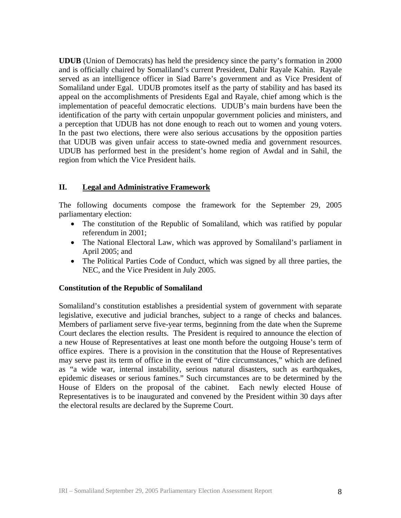**UDUB** (Union of Democrats) has held the presidency since the party's formation in 2000 and is officially chaired by Somaliland's current President, Dahir Rayale Kahin. Rayale served as an intelligence officer in Siad Barre's government and as Vice President of Somaliland under Egal. UDUB promotes itself as the party of stability and has based its appeal on the accomplishments of Presidents Egal and Rayale, chief among which is the implementation of peaceful democratic elections. UDUB's main burdens have been the identification of the party with certain unpopular government policies and ministers, and a perception that UDUB has not done enough to reach out to women and young voters. In the past two elections, there were also serious accusations by the opposition parties that UDUB was given unfair access to state-owned media and government resources. UDUB has performed best in the president's home region of Awdal and in Sahil, the region from which the Vice President hails.

### **II. Legal and Administrative Framework**

The following documents compose the framework for the September 29, 2005 parliamentary election:

- The constitution of the Republic of Somaliland, which was ratified by popular referendum in 2001;
- The National Electoral Law, which was approved by Somaliland's parliament in April 2005; and
- The Political Parties Code of Conduct, which was signed by all three parties, the NEC, and the Vice President in July 2005.

#### **Constitution of the Republic of Somaliland**

Somaliland's constitution establishes a presidential system of government with separate legislative, executive and judicial branches, subject to a range of checks and balances. Members of parliament serve five-year terms, beginning from the date when the Supreme Court declares the election results. The President is required to announce the election of a new House of Representatives at least one month before the outgoing House's term of office expires. There is a provision in the constitution that the House of Representatives may serve past its term of office in the event of "dire circumstances," which are defined as "a wide war, internal instability, serious natural disasters, such as earthquakes, epidemic diseases or serious famines." Such circumstances are to be determined by the House of Elders on the proposal of the cabinet. Each newly elected House of Representatives is to be inaugurated and convened by the President within 30 days after the electoral results are declared by the Supreme Court.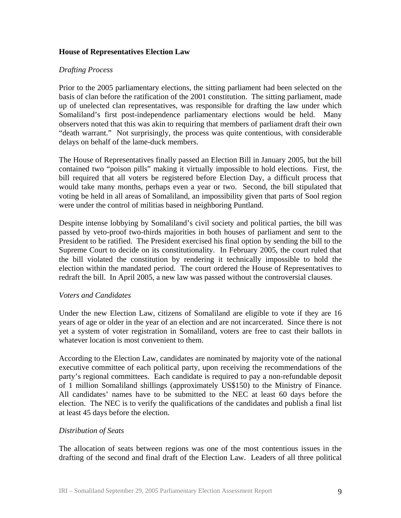#### **House of Representatives Election Law**

#### *Drafting Process*

Prior to the 2005 parliamentary elections, the sitting parliament had been selected on the basis of clan before the ratification of the 2001 constitution. The sitting parliament, made up of unelected clan representatives, was responsible for drafting the law under which Somaliland's first post-independence parliamentary elections would be held. Many observers noted that this was akin to requiring that members of parliament draft their own "death warrant." Not surprisingly, the process was quite contentious, with considerable delays on behalf of the lame-duck members.

The House of Representatives finally passed an Election Bill in January 2005, but the bill contained two "poison pills" making it virtually impossible to hold elections. First, the bill required that all voters be registered before Election Day, a difficult process that would take many months, perhaps even a year or two. Second, the bill stipulated that voting be held in all areas of Somaliland, an impossibility given that parts of Sool region were under the control of militias based in neighboring Puntland.

Despite intense lobbying by Somaliland's civil society and political parties, the bill was passed by veto-proof two-thirds majorities in both houses of parliament and sent to the President to be ratified. The President exercised his final option by sending the bill to the Supreme Court to decide on its constitutionality. In February 2005, the court ruled that the bill violated the constitution by rendering it technically impossible to hold the election within the mandated period. The court ordered the House of Representatives to redraft the bill. In April 2005, a new law was passed without the controversial clauses.

#### *Voters and Candidates*

Under the new Election Law, citizens of Somaliland are eligible to vote if they are 16 years of age or older in the year of an election and are not incarcerated. Since there is not yet a system of voter registration in Somaliland, voters are free to cast their ballots in whatever location is most convenient to them.

According to the Election Law, candidates are nominated by majority vote of the national executive committee of each political party, upon receiving the recommendations of the party's regional committees. Each candidate is required to pay a non-refundable deposit of 1 million Somaliland shillings (approximately US\$150) to the Ministry of Finance. All candidates' names have to be submitted to the NEC at least 60 days before the election. The NEC is to verify the qualifications of the candidates and publish a final list at least 45 days before the election.

#### *Distribution of Seats*

The allocation of seats between regions was one of the most contentious issues in the drafting of the second and final draft of the Election Law. Leaders of all three political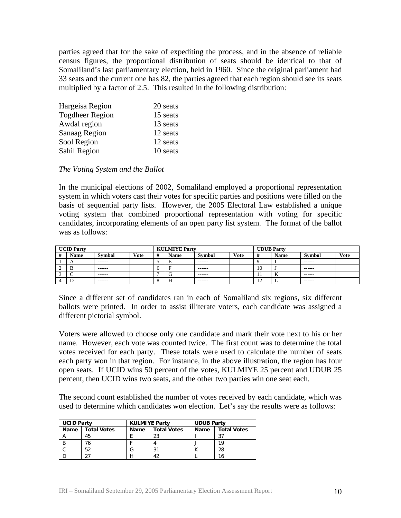parties agreed that for the sake of expediting the process, and in the absence of reliable census figures, the proportional distribution of seats should be identical to that of Somaliland's last parliamentary election, held in 1960. Since the original parliament had 33 seats and the current one has 82, the parties agreed that each region should see its seats multiplied by a factor of 2.5. This resulted in the following distribution:

| Hargeisa Region        | 20 seats |
|------------------------|----------|
| <b>Togdheer Region</b> | 15 seats |
| Awdal region           | 13 seats |
| <b>Sanaag Region</b>   | 12 seats |
| Sool Region            | 12 seats |
| Sahil Region           | 10 seats |

#### *The Voting System and the Ballot*

In the municipal elections of 2002, Somaliland employed a proportional representation system in which voters cast their votes for specific parties and positions were filled on the basis of sequential party lists. However, the 2005 Electoral Law established a unique voting system that combined proportional representation with voting for specific candidates, incorporating elements of an open party list system. The format of the ballot was as follows:

| <b>UCID Party</b> |            |               | <b>KULMIYE Party</b> |                |             | <b>UDUB</b> Party |             |                          |             |               |             |
|-------------------|------------|---------------|----------------------|----------------|-------------|-------------------|-------------|--------------------------|-------------|---------------|-------------|
| #                 | Name       | <b>Symbol</b> | <b>Vote</b>          | $\overline{u}$ | <b>Name</b> | <b>Symbol</b>     | <b>Vote</b> |                          | <b>Name</b> | <b>Symbol</b> | <b>Vote</b> |
|                   | $\sqrt{ }$ | ------        |                      |                | E           | ------            |             |                          |             | -------       |             |
|                   | D          | -------       |                      |                |             | -------           |             | 10                       |             | -------       |             |
|                   | ъ.         | -------       |                      |                | ╭<br>U      | -------           |             | 11                       | <br>V       | -------       |             |
|                   |            | -------       |                      |                | H           | ------            |             | $\sim$<br>$\overline{1}$ | . .         | -------       |             |

Since a different set of candidates ran in each of Somaliland six regions, six different ballots were printed. In order to assist illiterate voters, each candidate was assigned a different pictorial symbol.

Voters were allowed to choose only one candidate and mark their vote next to his or her name. However, each vote was counted twice. The first count was to determine the total votes received for each party. These totals were used to calculate the number of seats each party won in that region. For instance, in the above illustration, the region has four open seats. If UCID wins 50 percent of the votes, KULMIYE 25 percent and UDUB 25 percent, then UCID wins two seats, and the other two parties win one seat each.

The second count established the number of votes received by each candidate, which was used to determine which candidates won election. Let's say the results were as follows:

| <b>UCID Party</b> |                    | <b>KULMIYE Party</b> |                    | <b>UDUB Party</b> |                    |  |
|-------------------|--------------------|----------------------|--------------------|-------------------|--------------------|--|
| <b>Name</b>       | <b>Total Votes</b> | <b>Name</b>          | <b>Total Votes</b> | Name              | <b>Total Votes</b> |  |
|                   | 45                 |                      | 23                 |                   |                    |  |
|                   |                    |                      |                    |                   | 10                 |  |
|                   | 52                 | lп                   | 31                 |                   | 28                 |  |
|                   |                    |                      |                    |                   | 16                 |  |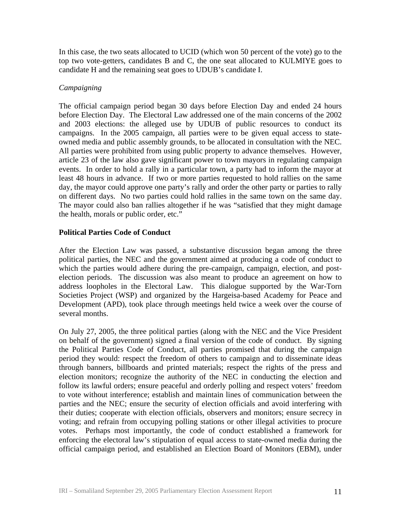In this case, the two seats allocated to UCID (which won 50 percent of the vote) go to the top two vote-getters, candidates B and C, the one seat allocated to KULMIYE goes to candidate H and the remaining seat goes to UDUB's candidate I.

## *Campaigning*

The official campaign period began 30 days before Election Day and ended 24 hours before Election Day. The Electoral Law addressed one of the main concerns of the 2002 and 2003 elections: the alleged use by UDUB of public resources to conduct its campaigns. In the 2005 campaign, all parties were to be given equal access to stateowned media and public assembly grounds, to be allocated in consultation with the NEC. All parties were prohibited from using public property to advance themselves. However, article 23 of the law also gave significant power to town mayors in regulating campaign events. In order to hold a rally in a particular town, a party had to inform the mayor at least 48 hours in advance. If two or more parties requested to hold rallies on the same day, the mayor could approve one party's rally and order the other party or parties to rally on different days. No two parties could hold rallies in the same town on the same day. The mayor could also ban rallies altogether if he was "satisfied that they might damage the health, morals or public order, etc."

## **Political Parties Code of Conduct**

After the Election Law was passed, a substantive discussion began among the three political parties, the NEC and the government aimed at producing a code of conduct to which the parties would adhere during the pre-campaign, campaign, election, and postelection periods. The discussion was also meant to produce an agreement on how to address loopholes in the Electoral Law. This dialogue supported by the War-Torn Societies Project (WSP) and organized by the Hargeisa-based Academy for Peace and Development (APD), took place through meetings held twice a week over the course of several months.

On July 27, 2005, the three political parties (along with the NEC and the Vice President on behalf of the government) signed a final version of the code of conduct. By signing the Political Parties Code of Conduct, all parties promised that during the campaign period they would: respect the freedom of others to campaign and to disseminate ideas through banners, billboards and printed materials; respect the rights of the press and election monitors; recognize the authority of the NEC in conducting the election and follow its lawful orders; ensure peaceful and orderly polling and respect voters' freedom to vote without interference; establish and maintain lines of communication between the parties and the NEC; ensure the security of election officials and avoid interfering with their duties; cooperate with election officials, observers and monitors; ensure secrecy in voting; and refrain from occupying polling stations or other illegal activities to procure votes. Perhaps most importantly, the code of conduct established a framework for enforcing the electoral law's stipulation of equal access to state-owned media during the official campaign period, and established an Election Board of Monitors (EBM), under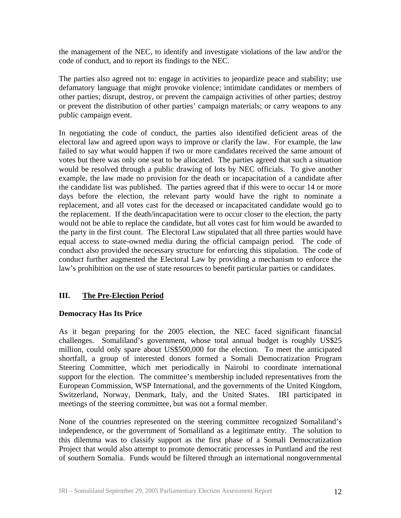the management of the NEC, to identify and investigate violations of the law and/or the code of conduct, and to report its findings to the NEC.

The parties also agreed not to: engage in activities to jeopardize peace and stability; use defamatory language that might provoke violence; intimidate candidates or members of other parties; disrupt, destroy, or prevent the campaign activities of other parties; destroy or prevent the distribution of other parties' campaign materials; or carry weapons to any public campaign event.

In negotiating the code of conduct, the parties also identified deficient areas of the electoral law and agreed upon ways to improve or clarify the law. For example, the law failed to say what would happen if two or more candidates received the same amount of votes but there was only one seat to be allocated. The parties agreed that such a situation would be resolved through a public drawing of lots by NEC officials. To give another example, the law made no provision for the death or incapacitation of a candidate after the candidate list was published. The parties agreed that if this were to occur 14 or more days before the election, the relevant party would have the right to nominate a replacement, and all votes cast for the deceased or incapacitated candidate would go to the replacement. If the death/incapacitation were to occur closer to the election, the party would not be able to replace the candidate, but all votes cast for him would be awarded to the party in the first count. The Electoral Law stipulated that all three parties would have equal access to state-owned media during the official campaign period. The code of conduct also provided the necessary structure for enforcing this stipulation. The code of conduct further augmented the Electoral Law by providing a mechanism to enforce the law's prohibition on the use of state resources to benefit particular parties or candidates.

## **III. The Pre-Election Period**

## **Democracy Has Its Price**

As it began preparing for the 2005 election, the NEC faced significant financial challenges. Somaliland's government, whose total annual budget is roughly US\$25 million, could only spare about US\$500,000 for the election. To meet the anticipated shortfall, a group of interested donors formed a Somali Democratization Program Steering Committee, which met periodically in Nairobi to coordinate international support for the election. The committee's membership included representatives from the European Commission, WSP International, and the governments of the United Kingdom, Switzerland, Norway, Denmark, Italy, and the United States. IRI participated in meetings of the steering committee, but was not a formal member.

None of the countries represented on the steering committee recognized Somaliland's independence, or the government of Somaliland as a legitimate entity. The solution to this dilemma was to classify support as the first phase of a Somali Democratization Project that would also attempt to promote democratic processes in Puntland and the rest of southern Somalia. Funds would be filtered through an international nongovernmental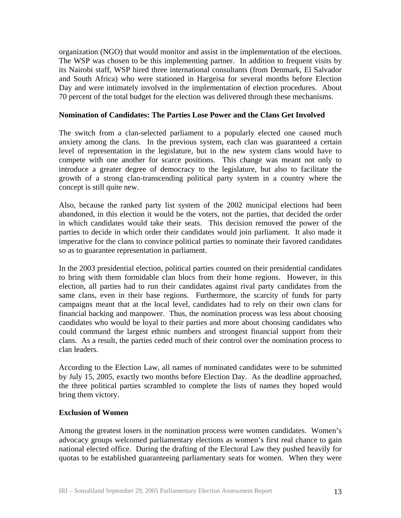organization (NGO) that would monitor and assist in the implementation of the elections. The WSP was chosen to be this implementing partner. In addition to frequent visits by its Nairobi staff, WSP hired three international consultants (from Denmark, El Salvador and South Africa) who were stationed in Hargeisa for several months before Election Day and were intimately involved in the implementation of election procedures. About 70 percent of the total budget for the election was delivered through these mechanisms.

#### **Nomination of Candidates: The Parties Lose Power and the Clans Get Involved**

The switch from a clan-selected parliament to a popularly elected one caused much anxiety among the clans. In the previous system, each clan was guaranteed a certain level of representation in the legislature, but in the new system clans would have to compete with one another for scarce positions. This change was meant not only to introduce a greater degree of democracy to the legislature, but also to facilitate the growth of a strong clan-transcending political party system in a country where the concept is still quite new.

Also, because the ranked party list system of the 2002 municipal elections had been abandoned, in this election it would be the voters, not the parties, that decided the order in which candidates would take their seats. This decision removed the power of the parties to decide in which order their candidates would join parliament. It also made it imperative for the clans to convince political parties to nominate their favored candidates so as to guarantee representation in parliament.

In the 2003 presidential election, political parties counted on their presidential candidates to bring with them formidable clan blocs from their home regions. However, in this election, all parties had to run their candidates against rival party candidates from the same clans, even in their base regions. Furthermore, the scarcity of funds for party campaigns meant that at the local level, candidates had to rely on their own clans for financial backing and manpower. Thus, the nomination process was less about choosing candidates who would be loyal to their parties and more about choosing candidates who could command the largest ethnic numbers and strongest financial support from their clans. As a result, the parties ceded much of their control over the nomination process to clan leaders.

According to the Election Law, all names of nominated candidates were to be submitted by July 15, 2005, exactly two months before Election Day. As the deadline approached, the three political parties scrambled to complete the lists of names they hoped would bring them victory.

#### **Exclusion of Women**

Among the greatest losers in the nomination process were women candidates. Women's advocacy groups welcomed parliamentary elections as women's first real chance to gain national elected office. During the drafting of the Electoral Law they pushed heavily for quotas to be established guaranteeing parliamentary seats for women. When they were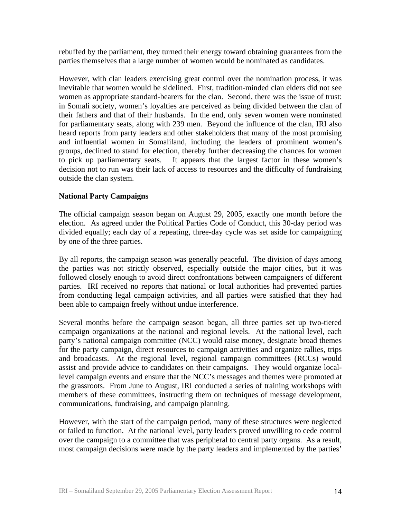rebuffed by the parliament, they turned their energy toward obtaining guarantees from the parties themselves that a large number of women would be nominated as candidates.

However, with clan leaders exercising great control over the nomination process, it was inevitable that women would be sidelined. First, tradition-minded clan elders did not see women as appropriate standard-bearers for the clan. Second, there was the issue of trust: in Somali society, women's loyalties are perceived as being divided between the clan of their fathers and that of their husbands. In the end, only seven women were nominated for parliamentary seats, along with 239 men. Beyond the influence of the clan, IRI also heard reports from party leaders and other stakeholders that many of the most promising and influential women in Somaliland, including the leaders of prominent women's groups, declined to stand for election, thereby further decreasing the chances for women to pick up parliamentary seats. It appears that the largest factor in these women's decision not to run was their lack of access to resources and the difficulty of fundraising outside the clan system.

### **National Party Campaigns**

The official campaign season began on August 29, 2005, exactly one month before the election. As agreed under the Political Parties Code of Conduct, this 30-day period was divided equally; each day of a repeating, three-day cycle was set aside for campaigning by one of the three parties.

By all reports, the campaign season was generally peaceful. The division of days among the parties was not strictly observed, especially outside the major cities, but it was followed closely enough to avoid direct confrontations between campaigners of different parties. IRI received no reports that national or local authorities had prevented parties from conducting legal campaign activities, and all parties were satisfied that they had been able to campaign freely without undue interference.

Several months before the campaign season began, all three parties set up two-tiered campaign organizations at the national and regional levels. At the national level, each party's national campaign committee (NCC) would raise money, designate broad themes for the party campaign, direct resources to campaign activities and organize rallies, trips and broadcasts. At the regional level, regional campaign committees (RCCs) would assist and provide advice to candidates on their campaigns. They would organize locallevel campaign events and ensure that the NCC's messages and themes were promoted at the grassroots. From June to August, IRI conducted a series of training workshops with members of these committees, instructing them on techniques of message development, communications, fundraising, and campaign planning.

However, with the start of the campaign period, many of these structures were neglected or failed to function. At the national level, party leaders proved unwilling to cede control over the campaign to a committee that was peripheral to central party organs. As a result, most campaign decisions were made by the party leaders and implemented by the parties'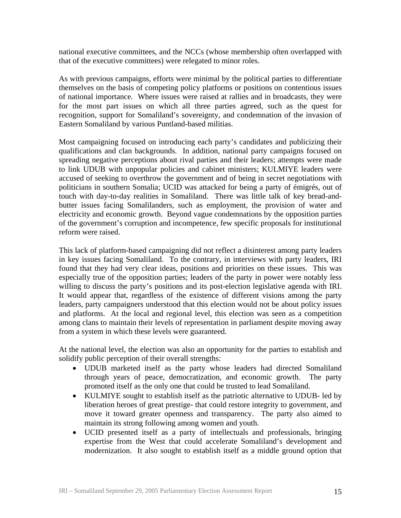national executive committees, and the NCCs (whose membership often overlapped with that of the executive committees) were relegated to minor roles.

As with previous campaigns, efforts were minimal by the political parties to differentiate themselves on the basis of competing policy platforms or positions on contentious issues of national importance. Where issues were raised at rallies and in broadcasts, they were for the most part issues on which all three parties agreed, such as the quest for recognition, support for Somaliland's sovereignty, and condemnation of the invasion of Eastern Somaliland by various Puntland-based militias.

Most campaigning focused on introducing each party's candidates and publicizing their qualifications and clan backgrounds. In addition, national party campaigns focused on spreading negative perceptions about rival parties and their leaders; attempts were made to link UDUB with unpopular policies and cabinet ministers; KULMIYE leaders were accused of seeking to overthrow the government and of being in secret negotiations with politicians in southern Somalia; UCID was attacked for being a party of émigrés, out of touch with day-to-day realities in Somaliland. There was little talk of key bread-andbutter issues facing Somalilanders, such as employment, the provision of water and electricity and economic growth. Beyond vague condemnations by the opposition parties of the government's corruption and incompetence, few specific proposals for institutional reform were raised.

This lack of platform-based campaigning did not reflect a disinterest among party leaders in key issues facing Somaliland. To the contrary, in interviews with party leaders, IRI found that they had very clear ideas, positions and priorities on these issues. This was especially true of the opposition parties; leaders of the party in power were notably less willing to discuss the party's positions and its post-election legislative agenda with IRI. It would appear that, regardless of the existence of different visions among the party leaders, party campaigners understood that this election would not be about policy issues and platforms. At the local and regional level, this election was seen as a competition among clans to maintain their levels of representation in parliament despite moving away from a system in which these levels were guaranteed.

At the national level, the election was also an opportunity for the parties to establish and solidify public perception of their overall strengths:

- UDUB marketed itself as the party whose leaders had directed Somaliland through years of peace, democratization, and economic growth. The party promoted itself as the only one that could be trusted to lead Somaliland.
- KULMIYE sought to establish itself as the patriotic alternative to UDUB- led by liberation heroes of great prestige- that could restore integrity to government, and move it toward greater openness and transparency. The party also aimed to maintain its strong following among women and youth.
- UCID presented itself as a party of intellectuals and professionals, bringing expertise from the West that could accelerate Somaliland's development and modernization. It also sought to establish itself as a middle ground option that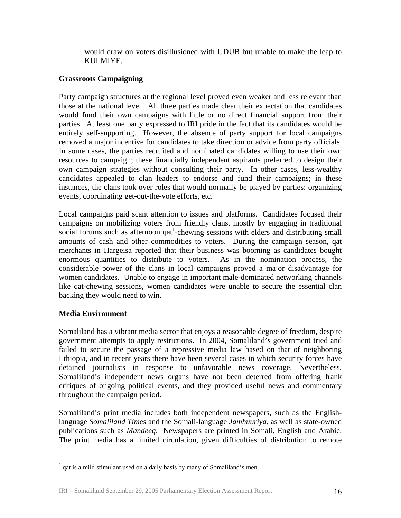would draw on voters disillusioned with UDUB but unable to make the leap to KULMIYE.

## **Grassroots Campaigning**

Party campaign structures at the regional level proved even weaker and less relevant than those at the national level. All three parties made clear their expectation that candidates would fund their own campaigns with little or no direct financial support from their parties. At least one party expressed to IRI pride in the fact that its candidates would be entirely self-supporting. However, the absence of party support for local campaigns removed a major incentive for candidates to take direction or advice from party officials. In some cases, the parties recruited and nominated candidates willing to use their own resources to campaign; these financially independent aspirants preferred to design their own campaign strategies without consulting their party. In other cases, less-wealthy candidates appealed to clan leaders to endorse and fund their campaigns; in these instances, the clans took over roles that would normally be played by parties: organizing events, coordinating get-out-the-vote efforts, etc.

Local campaigns paid scant attention to issues and platforms. Candidates focused their campaigns on mobilizing voters from friendly clans, mostly by engaging in traditional social forums such as afternoon  $qat^1$ -chewing sessions with elders and distributing small amounts of cash and other commodities to voters. During the campaign season, qat merchants in Hargeisa reported that their business was booming as candidates bought enormous quantities to distribute to voters. As in the nomination process, the considerable power of the clans in local campaigns proved a major disadvantage for women candidates. Unable to engage in important male-dominated networking channels like qat-chewing sessions, women candidates were unable to secure the essential clan backing they would need to win.

## **Media Environment**

<u>.</u>

Somaliland has a vibrant media sector that enjoys a reasonable degree of freedom, despite government attempts to apply restrictions. In 2004, Somaliland's government tried and failed to secure the passage of a repressive media law based on that of neighboring Ethiopia, and in recent years there have been several cases in which security forces have detained journalists in response to unfavorable news coverage. Nevertheless, Somaliland's independent news organs have not been deterred from offering frank critiques of ongoing political events, and they provided useful news and commentary throughout the campaign period.

Somaliland's print media includes both independent newspapers, such as the Englishlanguage *Somaliland Times* and the Somali-language *Jamhuuriya*, as well as state-owned publications such as *Mandeeq*. Newspapers are printed in Somali, English and Arabic. The print media has a limited circulation, given difficulties of distribution to remote

 $<sup>1</sup>$  qat is a mild stimulant used on a daily basis by many of Somaliland's men</sup>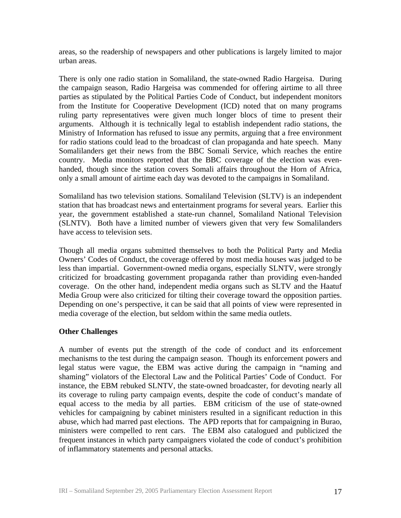areas, so the readership of newspapers and other publications is largely limited to major urban areas.

There is only one radio station in Somaliland, the state-owned Radio Hargeisa. During the campaign season, Radio Hargeisa was commended for offering airtime to all three parties as stipulated by the Political Parties Code of Conduct, but independent monitors from the Institute for Cooperative Development (ICD) noted that on many programs ruling party representatives were given much longer blocs of time to present their arguments. Although it is technically legal to establish independent radio stations, the Ministry of Information has refused to issue any permits, arguing that a free environment for radio stations could lead to the broadcast of clan propaganda and hate speech. Many Somalilanders get their news from the BBC Somali Service, which reaches the entire country. Media monitors reported that the BBC coverage of the election was evenhanded, though since the station covers Somali affairs throughout the Horn of Africa, only a small amount of airtime each day was devoted to the campaigns in Somaliland.

Somaliland has two television stations. Somaliland Television (SLTV) is an independent station that has broadcast news and entertainment programs for several years. Earlier this year, the government established a state-run channel, Somaliland National Television (SLNTV). Both have a limited number of viewers given that very few Somalilanders have access to television sets.

Though all media organs submitted themselves to both the Political Party and Media Owners' Codes of Conduct, the coverage offered by most media houses was judged to be less than impartial. Government-owned media organs, especially SLNTV, were strongly criticized for broadcasting government propaganda rather than providing even-handed coverage. On the other hand, independent media organs such as SLTV and the Haatuf Media Group were also criticized for tilting their coverage toward the opposition parties. Depending on one's perspective, it can be said that all points of view were represented in media coverage of the election, but seldom within the same media outlets.

## **Other Challenges**

A number of events put the strength of the code of conduct and its enforcement mechanisms to the test during the campaign season. Though its enforcement powers and legal status were vague, the EBM was active during the campaign in "naming and shaming" violators of the Electoral Law and the Political Parties' Code of Conduct. For instance, the EBM rebuked SLNTV, the state-owned broadcaster, for devoting nearly all its coverage to ruling party campaign events, despite the code of conduct's mandate of equal access to the media by all parties. EBM criticism of the use of state-owned vehicles for campaigning by cabinet ministers resulted in a significant reduction in this abuse, which had marred past elections. The APD reports that for campaigning in Burao, ministers were compelled to rent cars. The EBM also catalogued and publicized the frequent instances in which party campaigners violated the code of conduct's prohibition of inflammatory statements and personal attacks.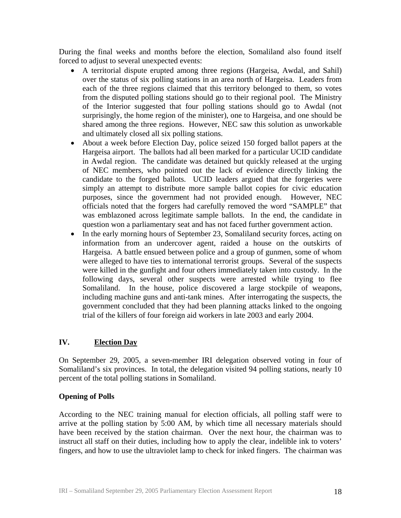During the final weeks and months before the election, Somaliland also found itself forced to adjust to several unexpected events:

- A territorial dispute erupted among three regions (Hargeisa, Awdal, and Sahil) over the status of six polling stations in an area north of Hargeisa. Leaders from each of the three regions claimed that this territory belonged to them, so votes from the disputed polling stations should go to their regional pool. The Ministry of the Interior suggested that four polling stations should go to Awdal (not surprisingly, the home region of the minister), one to Hargeisa, and one should be shared among the three regions. However, NEC saw this solution as unworkable and ultimately closed all six polling stations.
- About a week before Election Day, police seized 150 forged ballot papers at the Hargeisa airport. The ballots had all been marked for a particular UCID candidate in Awdal region. The candidate was detained but quickly released at the urging of NEC members, who pointed out the lack of evidence directly linking the candidate to the forged ballots. UCID leaders argued that the forgeries were simply an attempt to distribute more sample ballot copies for civic education purposes, since the government had not provided enough. However, NEC officials noted that the forgers had carefully removed the word "SAMPLE" that was emblazoned across legitimate sample ballots. In the end, the candidate in question won a parliamentary seat and has not faced further government action.
- In the early morning hours of September 23, Somaliland security forces, acting on information from an undercover agent, raided a house on the outskirts of Hargeisa. A battle ensued between police and a group of gunmen, some of whom were alleged to have ties to international terrorist groups. Several of the suspects were killed in the gunfight and four others immediately taken into custody. In the following days, several other suspects were arrested while trying to flee Somaliland. In the house, police discovered a large stockpile of weapons, including machine guns and anti-tank mines. After interrogating the suspects, the government concluded that they had been planning attacks linked to the ongoing trial of the killers of four foreign aid workers in late 2003 and early 2004.

#### **IV. Election Day**

On September 29, 2005, a seven-member IRI delegation observed voting in four of Somaliland's six provinces. In total, the delegation visited 94 polling stations, nearly 10 percent of the total polling stations in Somaliland.

## **Opening of Polls**

According to the NEC training manual for election officials, all polling staff were to arrive at the polling station by 5:00 AM, by which time all necessary materials should have been received by the station chairman. Over the next hour, the chairman was to instruct all staff on their duties, including how to apply the clear, indelible ink to voters' fingers, and how to use the ultraviolet lamp to check for inked fingers. The chairman was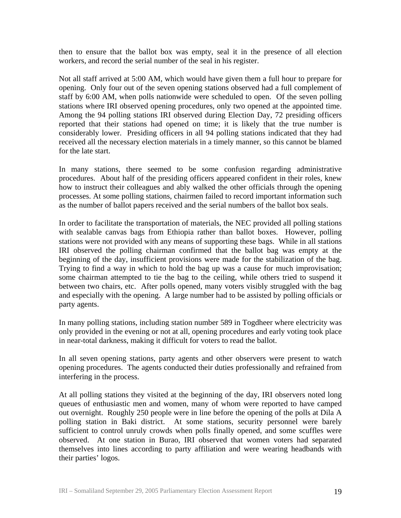then to ensure that the ballot box was empty, seal it in the presence of all election workers, and record the serial number of the seal in his register.

Not all staff arrived at 5:00 AM, which would have given them a full hour to prepare for opening. Only four out of the seven opening stations observed had a full complement of staff by 6:00 AM, when polls nationwide were scheduled to open. Of the seven polling stations where IRI observed opening procedures, only two opened at the appointed time. Among the 94 polling stations IRI observed during Election Day, 72 presiding officers reported that their stations had opened on time; it is likely that the true number is considerably lower. Presiding officers in all 94 polling stations indicated that they had received all the necessary election materials in a timely manner, so this cannot be blamed for the late start.

In many stations, there seemed to be some confusion regarding administrative procedures. About half of the presiding officers appeared confident in their roles, knew how to instruct their colleagues and ably walked the other officials through the opening processes. At some polling stations, chairmen failed to record important information such as the number of ballot papers received and the serial numbers of the ballot box seals.

In order to facilitate the transportation of materials, the NEC provided all polling stations with sealable canvas bags from Ethiopia rather than ballot boxes. However, polling stations were not provided with any means of supporting these bags. While in all stations IRI observed the polling chairman confirmed that the ballot bag was empty at the beginning of the day, insufficient provisions were made for the stabilization of the bag. Trying to find a way in which to hold the bag up was a cause for much improvisation; some chairman attempted to tie the bag to the ceiling, while others tried to suspend it between two chairs, etc. After polls opened, many voters visibly struggled with the bag and especially with the opening. A large number had to be assisted by polling officials or party agents.

In many polling stations, including station number 589 in Togdheer where electricity was only provided in the evening or not at all, opening procedures and early voting took place in near-total darkness, making it difficult for voters to read the ballot.

In all seven opening stations, party agents and other observers were present to watch opening procedures. The agents conducted their duties professionally and refrained from interfering in the process.

At all polling stations they visited at the beginning of the day, IRI observers noted long queues of enthusiastic men and women, many of whom were reported to have camped out overnight. Roughly 250 people were in line before the opening of the polls at Dila A polling station in Baki district. At some stations, security personnel were barely sufficient to control unruly crowds when polls finally opened, and some scuffles were observed. At one station in Burao, IRI observed that women voters had separated themselves into lines according to party affiliation and were wearing headbands with their parties' logos.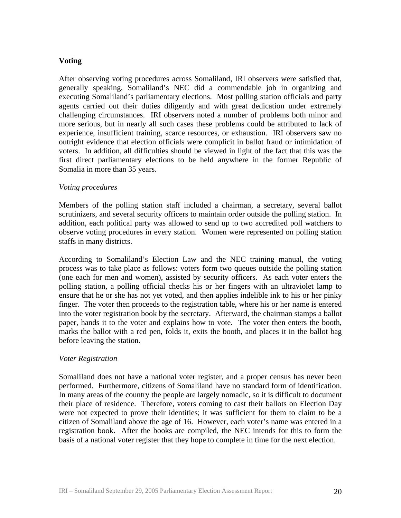## **Voting**

After observing voting procedures across Somaliland, IRI observers were satisfied that, generally speaking, Somaliland's NEC did a commendable job in organizing and executing Somaliland's parliamentary elections. Most polling station officials and party agents carried out their duties diligently and with great dedication under extremely challenging circumstances. IRI observers noted a number of problems both minor and more serious, but in nearly all such cases these problems could be attributed to lack of experience, insufficient training, scarce resources, or exhaustion. IRI observers saw no outright evidence that election officials were complicit in ballot fraud or intimidation of voters. In addition, all difficulties should be viewed in light of the fact that this was the first direct parliamentary elections to be held anywhere in the former Republic of Somalia in more than 35 years.

#### *Voting procedures*

Members of the polling station staff included a chairman, a secretary, several ballot scrutinizers, and several security officers to maintain order outside the polling station. In addition, each political party was allowed to send up to two accredited poll watchers to observe voting procedures in every station. Women were represented on polling station staffs in many districts.

According to Somaliland's Election Law and the NEC training manual, the voting process was to take place as follows: voters form two queues outside the polling station (one each for men and women), assisted by security officers. As each voter enters the polling station, a polling official checks his or her fingers with an ultraviolet lamp to ensure that he or she has not yet voted, and then applies indelible ink to his or her pinky finger. The voter then proceeds to the registration table, where his or her name is entered into the voter registration book by the secretary. Afterward, the chairman stamps a ballot paper, hands it to the voter and explains how to vote. The voter then enters the booth, marks the ballot with a red pen, folds it, exits the booth, and places it in the ballot bag before leaving the station.

#### *Voter Registration*

Somaliland does not have a national voter register, and a proper census has never been performed. Furthermore, citizens of Somaliland have no standard form of identification. In many areas of the country the people are largely nomadic, so it is difficult to document their place of residence. Therefore, voters coming to cast their ballots on Election Day were not expected to prove their identities; it was sufficient for them to claim to be a citizen of Somaliland above the age of 16. However, each voter's name was entered in a registration book. After the books are compiled, the NEC intends for this to form the basis of a national voter register that they hope to complete in time for the next election.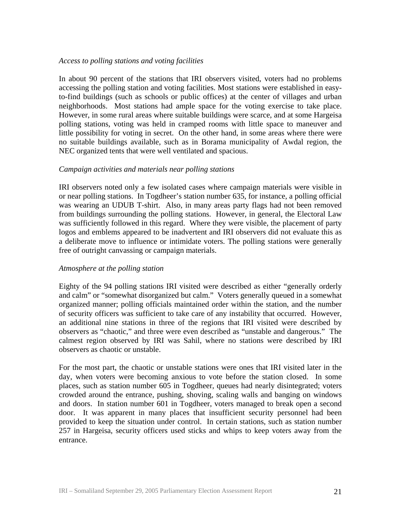#### *Access to polling stations and voting facilities*

In about 90 percent of the stations that IRI observers visited, voters had no problems accessing the polling station and voting facilities. Most stations were established in easyto-find buildings (such as schools or public offices) at the center of villages and urban neighborhoods. Most stations had ample space for the voting exercise to take place. However, in some rural areas where suitable buildings were scarce, and at some Hargeisa polling stations, voting was held in cramped rooms with little space to maneuver and little possibility for voting in secret. On the other hand, in some areas where there were no suitable buildings available, such as in Borama municipality of Awdal region, the NEC organized tents that were well ventilated and spacious.

### *Campaign activities and materials near polling stations*

IRI observers noted only a few isolated cases where campaign materials were visible in or near polling stations. In Togdheer's station number 635, for instance, a polling official was wearing an UDUB T-shirt. Also, in many areas party flags had not been removed from buildings surrounding the polling stations. However, in general, the Electoral Law was sufficiently followed in this regard. Where they were visible, the placement of party logos and emblems appeared to be inadvertent and IRI observers did not evaluate this as a deliberate move to influence or intimidate voters. The polling stations were generally free of outright canvassing or campaign materials.

#### *Atmosphere at the polling station*

Eighty of the 94 polling stations IRI visited were described as either "generally orderly and calm" or "somewhat disorganized but calm." Voters generally queued in a somewhat organized manner; polling officials maintained order within the station, and the number of security officers was sufficient to take care of any instability that occurred. However, an additional nine stations in three of the regions that IRI visited were described by observers as "chaotic," and three were even described as "unstable and dangerous." The calmest region observed by IRI was Sahil, where no stations were described by IRI observers as chaotic or unstable.

For the most part, the chaotic or unstable stations were ones that IRI visited later in the day, when voters were becoming anxious to vote before the station closed. In some places, such as station number 605 in Togdheer, queues had nearly disintegrated; voters crowded around the entrance, pushing, shoving, scaling walls and banging on windows and doors. In station number 601 in Togdheer, voters managed to break open a second door. It was apparent in many places that insufficient security personnel had been provided to keep the situation under control. In certain stations, such as station number 257 in Hargeisa, security officers used sticks and whips to keep voters away from the entrance.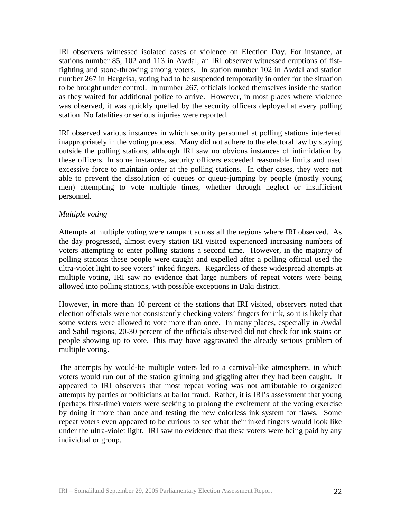IRI observers witnessed isolated cases of violence on Election Day. For instance, at stations number 85, 102 and 113 in Awdal, an IRI observer witnessed eruptions of fistfighting and stone-throwing among voters. In station number 102 in Awdal and station number 267 in Hargeisa, voting had to be suspended temporarily in order for the situation to be brought under control. In number 267, officials locked themselves inside the station as they waited for additional police to arrive. However, in most places where violence was observed, it was quickly quelled by the security officers deployed at every polling station. No fatalities or serious injuries were reported.

IRI observed various instances in which security personnel at polling stations interfered inappropriately in the voting process. Many did not adhere to the electoral law by staying outside the polling stations, although IRI saw no obvious instances of intimidation by these officers. In some instances, security officers exceeded reasonable limits and used excessive force to maintain order at the polling stations. In other cases, they were not able to prevent the dissolution of queues or queue-jumping by people (mostly young men) attempting to vote multiple times, whether through neglect or insufficient personnel.

#### *Multiple voting*

Attempts at multiple voting were rampant across all the regions where IRI observed. As the day progressed, almost every station IRI visited experienced increasing numbers of voters attempting to enter polling stations a second time. However, in the majority of polling stations these people were caught and expelled after a polling official used the ultra-violet light to see voters' inked fingers. Regardless of these widespread attempts at multiple voting, IRI saw no evidence that large numbers of repeat voters were being allowed into polling stations, with possible exceptions in Baki district.

However, in more than 10 percent of the stations that IRI visited, observers noted that election officials were not consistently checking voters' fingers for ink, so it is likely that some voters were allowed to vote more than once. In many places, especially in Awdal and Sahil regions, 20-30 percent of the officials observed did not check for ink stains on people showing up to vote. This may have aggravated the already serious problem of multiple voting.

The attempts by would-be multiple voters led to a carnival-like atmosphere, in which voters would run out of the station grinning and giggling after they had been caught. It appeared to IRI observers that most repeat voting was not attributable to organized attempts by parties or politicians at ballot fraud. Rather, it is IRI's assessment that young (perhaps first-time) voters were seeking to prolong the excitement of the voting exercise by doing it more than once and testing the new colorless ink system for flaws. Some repeat voters even appeared to be curious to see what their inked fingers would look like under the ultra-violet light. IRI saw no evidence that these voters were being paid by any individual or group.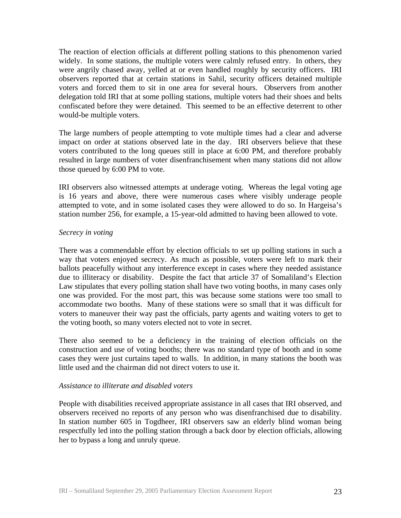The reaction of election officials at different polling stations to this phenomenon varied widely. In some stations, the multiple voters were calmly refused entry. In others, they were angrily chased away, yelled at or even handled roughly by security officers. IRI observers reported that at certain stations in Sahil, security officers detained multiple voters and forced them to sit in one area for several hours. Observers from another delegation told IRI that at some polling stations, multiple voters had their shoes and belts confiscated before they were detained. This seemed to be an effective deterrent to other would-be multiple voters.

The large numbers of people attempting to vote multiple times had a clear and adverse impact on order at stations observed late in the day. IRI observers believe that these voters contributed to the long queues still in place at 6:00 PM, and therefore probably resulted in large numbers of voter disenfranchisement when many stations did not allow those queued by 6:00 PM to vote.

IRI observers also witnessed attempts at underage voting. Whereas the legal voting age is 16 years and above, there were numerous cases where visibly underage people attempted to vote, and in some isolated cases they were allowed to do so. In Hargeisa's station number 256, for example, a 15-year-old admitted to having been allowed to vote.

#### *Secrecy in voting*

There was a commendable effort by election officials to set up polling stations in such a way that voters enjoyed secrecy. As much as possible, voters were left to mark their ballots peacefully without any interference except in cases where they needed assistance due to illiteracy or disability. Despite the fact that article 37 of Somaliland's Election Law stipulates that every polling station shall have two voting booths, in many cases only one was provided. For the most part, this was because some stations were too small to accommodate two booths. Many of these stations were so small that it was difficult for voters to maneuver their way past the officials, party agents and waiting voters to get to the voting booth, so many voters elected not to vote in secret.

There also seemed to be a deficiency in the training of election officials on the construction and use of voting booths; there was no standard type of booth and in some cases they were just curtains taped to walls. In addition, in many stations the booth was little used and the chairman did not direct voters to use it.

#### *Assistance to illiterate and disabled voters*

People with disabilities received appropriate assistance in all cases that IRI observed, and observers received no reports of any person who was disenfranchised due to disability. In station number 605 in Togdheer, IRI observers saw an elderly blind woman being respectfully led into the polling station through a back door by election officials, allowing her to bypass a long and unruly queue.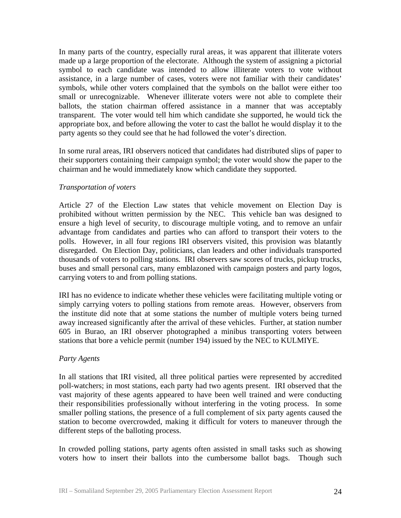In many parts of the country, especially rural areas, it was apparent that illiterate voters made up a large proportion of the electorate. Although the system of assigning a pictorial symbol to each candidate was intended to allow illiterate voters to vote without assistance, in a large number of cases, voters were not familiar with their candidates' symbols, while other voters complained that the symbols on the ballot were either too small or unrecognizable. Whenever illiterate voters were not able to complete their ballots, the station chairman offered assistance in a manner that was acceptably transparent. The voter would tell him which candidate she supported, he would tick the appropriate box, and before allowing the voter to cast the ballot he would display it to the party agents so they could see that he had followed the voter's direction.

In some rural areas, IRI observers noticed that candidates had distributed slips of paper to their supporters containing their campaign symbol; the voter would show the paper to the chairman and he would immediately know which candidate they supported.

#### *Transportation of voters*

Article 27 of the Election Law states that vehicle movement on Election Day is prohibited without written permission by the NEC. This vehicle ban was designed to ensure a high level of security, to discourage multiple voting, and to remove an unfair advantage from candidates and parties who can afford to transport their voters to the polls. However, in all four regions IRI observers visited, this provision was blatantly disregarded. On Election Day, politicians, clan leaders and other individuals transported thousands of voters to polling stations. IRI observers saw scores of trucks, pickup trucks, buses and small personal cars, many emblazoned with campaign posters and party logos, carrying voters to and from polling stations.

IRI has no evidence to indicate whether these vehicles were facilitating multiple voting or simply carrying voters to polling stations from remote areas. However, observers from the institute did note that at some stations the number of multiple voters being turned away increased significantly after the arrival of these vehicles. Further, at station number 605 in Burao, an IRI observer photographed a minibus transporting voters between stations that bore a vehicle permit (number 194) issued by the NEC to KULMIYE.

#### *Party Agents*

In all stations that IRI visited, all three political parties were represented by accredited poll-watchers; in most stations, each party had two agents present. IRI observed that the vast majority of these agents appeared to have been well trained and were conducting their responsibilities professionally without interfering in the voting process. In some smaller polling stations, the presence of a full complement of six party agents caused the station to become overcrowded, making it difficult for voters to maneuver through the different steps of the balloting process.

In crowded polling stations, party agents often assisted in small tasks such as showing voters how to insert their ballots into the cumbersome ballot bags. Though such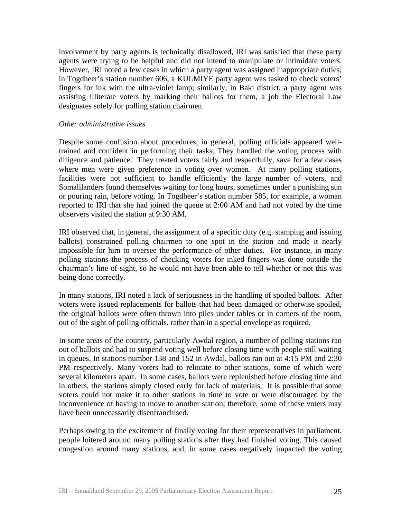involvement by party agents is technically disallowed, IRI was satisfied that these party agents were trying to be helpful and did not intend to manipulate or intimidate voters. However, IRI noted a few cases in which a party agent was assigned inappropriate duties; in Togdheer's station number 606, a KULMIYE party agent was tasked to check voters' fingers for ink with the ultra-violet lamp; similarly, in Baki district, a party agent was assisting illiterate voters by marking their ballots for them, a job the Electoral Law designates solely for polling station chairmen.

#### *Other administrative issues*

Despite some confusion about procedures, in general, polling officials appeared welltrained and confident in performing their tasks. They handled the voting process with diligence and patience. They treated voters fairly and respectfully, save for a few cases where men were given preference in voting over women. At many polling stations, facilities were not sufficient to handle efficiently the large number of voters, and Somalilanders found themselves waiting for long hours, sometimes under a punishing sun or pouring rain, before voting. In Togdheer's station number 585, for example, a woman reported to IRI that she had joined the queue at 2:00 AM and had not voted by the time observers visited the station at 9:30 AM.

IRI observed that, in general, the assignment of a specific duty (e.g. stamping and issuing ballots) constrained polling chairmen to one spot in the station and made it nearly impossible for him to oversee the performance of other duties. For instance, in many polling stations the process of checking voters for inked fingers was done outside the chairman's line of sight, so he would not have been able to tell whether or not this was being done correctly.

In many stations, IRI noted a lack of seriousness in the handling of spoiled ballots. After voters were issued replacements for ballots that had been damaged or otherwise spoiled, the original ballots were often thrown into piles under tables or in corners of the room, out of the sight of polling officials, rather than in a special envelope as required.

In some areas of the country, particularly Awdal region, a number of polling stations ran out of ballots and had to suspend voting well before closing time with people still waiting in queues. In stations number 138 and 152 in Awdal, ballots ran out at 4:15 PM and 2:30 PM respectively. Many voters had to relocate to other stations, some of which were several kilometers apart. In some cases, ballots were replenished before closing time and in others, the stations simply closed early for lack of materials. It is possible that some voters could not make it to other stations in time to vote or were discouraged by the inconvenience of having to move to another station; therefore, some of these voters may have been unnecessarily disenfranchised.

Perhaps owing to the excitement of finally voting for their representatives in parliament, people loitered around many polling stations after they had finished voting. This caused congestion around many stations, and, in some cases negatively impacted the voting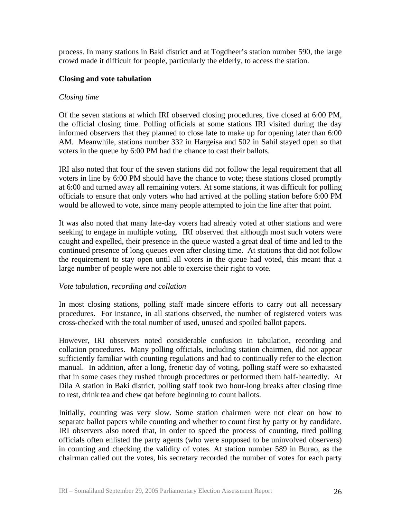process. In many stations in Baki district and at Togdheer's station number 590, the large crowd made it difficult for people, particularly the elderly, to access the station.

#### **Closing and vote tabulation**

### *Closing time*

Of the seven stations at which IRI observed closing procedures, five closed at 6:00 PM, the official closing time. Polling officials at some stations IRI visited during the day informed observers that they planned to close late to make up for opening later than 6:00 AM. Meanwhile, stations number 332 in Hargeisa and 502 in Sahil stayed open so that voters in the queue by 6:00 PM had the chance to cast their ballots.

IRI also noted that four of the seven stations did not follow the legal requirement that all voters in line by 6:00 PM should have the chance to vote; these stations closed promptly at 6:00 and turned away all remaining voters. At some stations, it was difficult for polling officials to ensure that only voters who had arrived at the polling station before 6:00 PM would be allowed to vote, since many people attempted to join the line after that point.

It was also noted that many late-day voters had already voted at other stations and were seeking to engage in multiple voting. IRI observed that although most such voters were caught and expelled, their presence in the queue wasted a great deal of time and led to the continued presence of long queues even after closing time. At stations that did not follow the requirement to stay open until all voters in the queue had voted, this meant that a large number of people were not able to exercise their right to vote.

#### *Vote tabulation, recording and collation*

In most closing stations, polling staff made sincere efforts to carry out all necessary procedures. For instance, in all stations observed, the number of registered voters was cross-checked with the total number of used, unused and spoiled ballot papers.

However, IRI observers noted considerable confusion in tabulation, recording and collation procedures. Many polling officials, including station chairmen, did not appear sufficiently familiar with counting regulations and had to continually refer to the election manual. In addition, after a long, frenetic day of voting, polling staff were so exhausted that in some cases they rushed through procedures or performed them half-heartedly. At Dila A station in Baki district, polling staff took two hour-long breaks after closing time to rest, drink tea and chew qat before beginning to count ballots.

Initially, counting was very slow. Some station chairmen were not clear on how to separate ballot papers while counting and whether to count first by party or by candidate. IRI observers also noted that, in order to speed the process of counting, tired polling officials often enlisted the party agents (who were supposed to be uninvolved observers) in counting and checking the validity of votes. At station number 589 in Burao, as the chairman called out the votes, his secretary recorded the number of votes for each party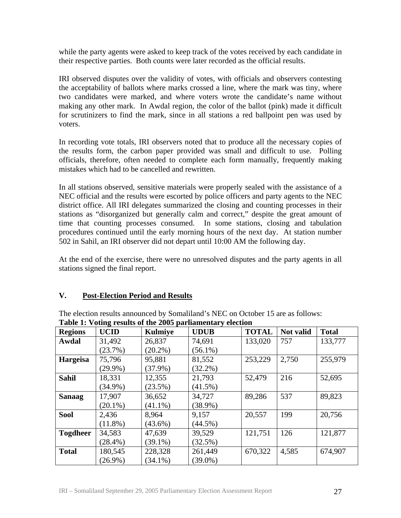while the party agents were asked to keep track of the votes received by each candidate in their respective parties. Both counts were later recorded as the official results.

IRI observed disputes over the validity of votes, with officials and observers contesting the acceptability of ballots where marks crossed a line, where the mark was tiny, where two candidates were marked, and where voters wrote the candidate's name without making any other mark. In Awdal region, the color of the ballot (pink) made it difficult for scrutinizers to find the mark, since in all stations a red ballpoint pen was used by voters.

In recording vote totals, IRI observers noted that to produce all the necessary copies of the results form, the carbon paper provided was small and difficult to use. Polling officials, therefore, often needed to complete each form manually, frequently making mistakes which had to be cancelled and rewritten.

In all stations observed, sensitive materials were properly sealed with the assistance of a NEC official and the results were escorted by police officers and party agents to the NEC district office. All IRI delegates summarized the closing and counting processes in their stations as "disorganized but generally calm and correct," despite the great amount of time that counting processes consumed. In some stations, closing and tabulation procedures continued until the early morning hours of the next day. At station number 502 in Sahil, an IRI observer did not depart until 10:00 AM the following day.

At the end of the exercise, there were no unresolved disputes and the party agents in all stations signed the final report.

## **V. Post-Election Period and Results**

The election results announced by Somaliland's NEC on October 15 are as follows: **Table 1: Voting results of the 2005 parliamentary election** 

| <b>Regions</b>  | <b>UCID</b> | <b>Kulmiye</b> | <b>UDUB</b> | <b>TOTAL</b> | Not valid | <b>Total</b> |
|-----------------|-------------|----------------|-------------|--------------|-----------|--------------|
| Awdal           | 31,492      | 26,837         | 74,691      | 133,020      | 757       | 133,777      |
|                 | (23.7%)     | $(20.2\%)$     | $(56.1\%)$  |              |           |              |
| <b>Hargeisa</b> | 75,796      | 95,881         | 81,552      | 253,229      | 2,750     | 255,979      |
|                 | $(29.9\%)$  | $(37.9\%)$     | $(32.2\%)$  |              |           |              |
| <b>Sahil</b>    | 18,331      | 12,355         | 21,793      | 52,479       | 216       | 52,695       |
|                 | $(34.9\%)$  | $(23.5\%)$     | $(41.5\%)$  |              |           |              |
| <b>Sanaag</b>   | 17,907      | 36,652         | 34,727      | 89,286       | 537       | 89,823       |
|                 | $(20.1\%)$  | $(41.1\%)$     | $(38.9\%)$  |              |           |              |
| <b>Sool</b>     | 2,436       | 8,964          | 9,157       | 20,557       | 199       | 20,756       |
|                 | $(11.8\%)$  | $(43.6\%)$     | $(44.5\%)$  |              |           |              |
| <b>Togdheer</b> | 34,583      | 47,639         | 39,529      | 121,751      | 126       | 121,877      |
|                 | $(28.4\%)$  | $(39.1\%)$     | $(32.5\%)$  |              |           |              |
| <b>Total</b>    | 180,545     | 228,328        | 261,449     | 670,322      | 4,585     | 674,907      |
|                 | $(26.9\%)$  | $(34.1\%)$     | $(39.0\%)$  |              |           |              |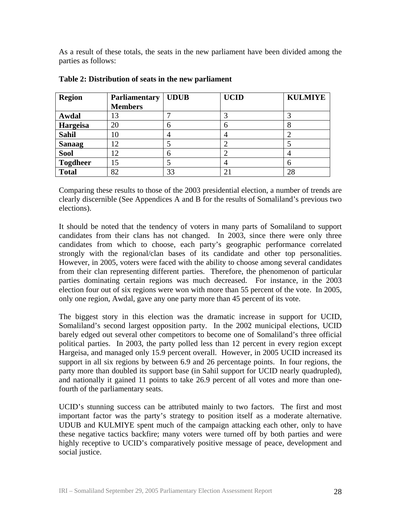As a result of these totals, the seats in the new parliament have been divided among the parties as follows:

| <b>Region</b>   | <b>Parliamentary</b> | <b>UDUB</b> | <b>UCID</b>    | <b>KULMIYE</b> |
|-----------------|----------------------|-------------|----------------|----------------|
|                 | <b>Members</b>       |             |                |                |
| Awdal           | 13                   |             | 3              |                |
| Hargeisa        | 20                   | 6           | 6              | 8              |
| <b>Sahil</b>    | 10                   | 4           | $\overline{4}$ | 2              |
| <b>Sanaag</b>   | 12                   |             | $\overline{2}$ |                |
| <b>Sool</b>     | 12                   | 6           | $\overline{2}$ | 4              |
| <b>Togdheer</b> | 15                   |             | $\overline{4}$ | 6              |
| <b>Total</b>    | 82                   | 33          | $\overline{2}$ | 28             |

#### **Table 2: Distribution of seats in the new parliament**

Comparing these results to those of the 2003 presidential election, a number of trends are clearly discernible (See Appendices A and B for the results of Somaliland's previous two elections).

It should be noted that the tendency of voters in many parts of Somaliland to support candidates from their clans has not changed. In 2003, since there were only three candidates from which to choose, each party's geographic performance correlated strongly with the regional/clan bases of its candidate and other top personalities. However, in 2005, voters were faced with the ability to choose among several candidates from their clan representing different parties. Therefore, the phenomenon of particular parties dominating certain regions was much decreased. For instance, in the 2003 election four out of six regions were won with more than 55 percent of the vote. In 2005, only one region, Awdal, gave any one party more than 45 percent of its vote.

The biggest story in this election was the dramatic increase in support for UCID, Somaliland's second largest opposition party. In the 2002 municipal elections, UCID barely edged out several other competitors to become one of Somaliland's three official political parties. In 2003, the party polled less than 12 percent in every region except Hargeisa, and managed only 15.9 percent overall. However, in 2005 UCID increased its support in all six regions by between 6.9 and 26 percentage points. In four regions, the party more than doubled its support base (in Sahil support for UCID nearly quadrupled), and nationally it gained 11 points to take 26.9 percent of all votes and more than onefourth of the parliamentary seats.

UCID's stunning success can be attributed mainly to two factors. The first and most important factor was the party's strategy to position itself as a moderate alternative. UDUB and KULMIYE spent much of the campaign attacking each other, only to have these negative tactics backfire; many voters were turned off by both parties and were highly receptive to UCID's comparatively positive message of peace, development and social justice.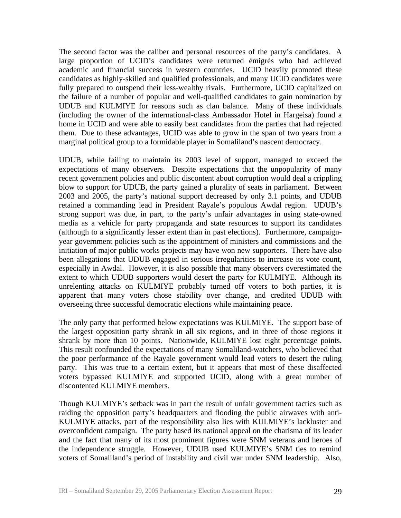The second factor was the caliber and personal resources of the party's candidates. A large proportion of UCID's candidates were returned émigrés who had achieved academic and financial success in western countries. UCID heavily promoted these candidates as highly-skilled and qualified professionals, and many UCID candidates were fully prepared to outspend their less-wealthy rivals. Furthermore, UCID capitalized on the failure of a number of popular and well-qualified candidates to gain nomination by UDUB and KULMIYE for reasons such as clan balance. Many of these individuals (including the owner of the international-class Ambassador Hotel in Hargeisa) found a home in UCID and were able to easily beat candidates from the parties that had rejected them. Due to these advantages, UCID was able to grow in the span of two years from a marginal political group to a formidable player in Somaliland's nascent democracy.

UDUB, while failing to maintain its 2003 level of support, managed to exceed the expectations of many observers. Despite expectations that the unpopularity of many recent government policies and public discontent about corruption would deal a crippling blow to support for UDUB, the party gained a plurality of seats in parliament. Between 2003 and 2005, the party's national support decreased by only 3.1 points, and UDUB retained a commanding lead in President Rayale's populous Awdal region. UDUB's strong support was due, in part, to the party's unfair advantages in using state-owned media as a vehicle for party propaganda and state resources to support its candidates (although to a significantly lesser extent than in past elections). Furthermore, campaignyear government policies such as the appointment of ministers and commissions and the initiation of major public works projects may have won new supporters. There have also been allegations that UDUB engaged in serious irregularities to increase its vote count, especially in Awdal. However, it is also possible that many observers overestimated the extent to which UDUB supporters would desert the party for KULMIYE. Although its unrelenting attacks on KULMIYE probably turned off voters to both parties, it is apparent that many voters chose stability over change, and credited UDUB with overseeing three successful democratic elections while maintaining peace.

The only party that performed below expectations was KULMIYE. The support base of the largest opposition party shrank in all six regions, and in three of those regions it shrank by more than 10 points. Nationwide, KULMIYE lost eight percentage points. This result confounded the expectations of many Somaliland-watchers, who believed that the poor performance of the Rayale government would lead voters to desert the ruling party. This was true to a certain extent, but it appears that most of these disaffected voters bypassed KULMIYE and supported UCID, along with a great number of discontented KULMIYE members.

Though KULMIYE's setback was in part the result of unfair government tactics such as raiding the opposition party's headquarters and flooding the public airwaves with anti-KULMIYE attacks, part of the responsibility also lies with KULMIYE's lackluster and overconfident campaign. The party based its national appeal on the charisma of its leader and the fact that many of its most prominent figures were SNM veterans and heroes of the independence struggle. However, UDUB used KULMIYE's SNM ties to remind voters of Somaliland's period of instability and civil war under SNM leadership. Also,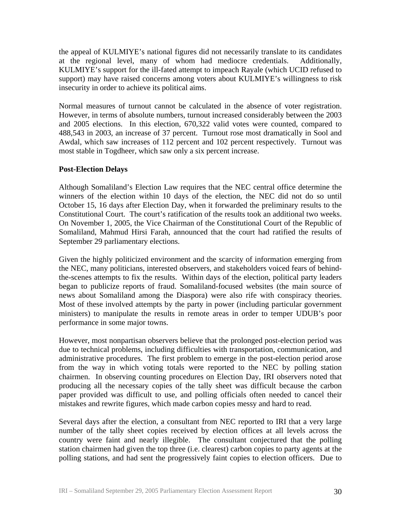the appeal of KULMIYE's national figures did not necessarily translate to its candidates at the regional level, many of whom had mediocre credentials. Additionally, KULMIYE's support for the ill-fated attempt to impeach Rayale (which UCID refused to support) may have raised concerns among voters about KULMIYE's willingness to risk insecurity in order to achieve its political aims.

Normal measures of turnout cannot be calculated in the absence of voter registration. However, in terms of absolute numbers, turnout increased considerably between the 2003 and 2005 elections. In this election, 670,322 valid votes were counted, compared to 488,543 in 2003, an increase of 37 percent. Turnout rose most dramatically in Sool and Awdal, which saw increases of 112 percent and 102 percent respectively. Turnout was most stable in Togdheer, which saw only a six percent increase.

### **Post-Election Delays**

Although Somaliland's Election Law requires that the NEC central office determine the winners of the election within 10 days of the election, the NEC did not do so until October 15, 16 days after Election Day, when it forwarded the preliminary results to the Constitutional Court. The court's ratification of the results took an additional two weeks. On November 1, 2005, the Vice Chairman of the Constitutional Court of the Republic of Somaliland, Mahmud Hirsi Farah, announced that the court had ratified the results of September 29 parliamentary elections.

Given the highly politicized environment and the scarcity of information emerging from the NEC, many politicians, interested observers, and stakeholders voiced fears of behindthe-scenes attempts to fix the results. Within days of the election, political party leaders began to publicize reports of fraud. Somaliland-focused websites (the main source of news about Somaliland among the Diaspora) were also rife with conspiracy theories. Most of these involved attempts by the party in power (including particular government ministers) to manipulate the results in remote areas in order to temper UDUB's poor performance in some major towns.

However, most nonpartisan observers believe that the prolonged post-election period was due to technical problems, including difficulties with transportation, communication, and administrative procedures. The first problem to emerge in the post-election period arose from the way in which voting totals were reported to the NEC by polling station chairmen. In observing counting procedures on Election Day, IRI observers noted that producing all the necessary copies of the tally sheet was difficult because the carbon paper provided was difficult to use, and polling officials often needed to cancel their mistakes and rewrite figures, which made carbon copies messy and hard to read.

Several days after the election, a consultant from NEC reported to IRI that a very large number of the tally sheet copies received by election offices at all levels across the country were faint and nearly illegible. The consultant conjectured that the polling station chairmen had given the top three (i.e. clearest) carbon copies to party agents at the polling stations, and had sent the progressively faint copies to election officers. Due to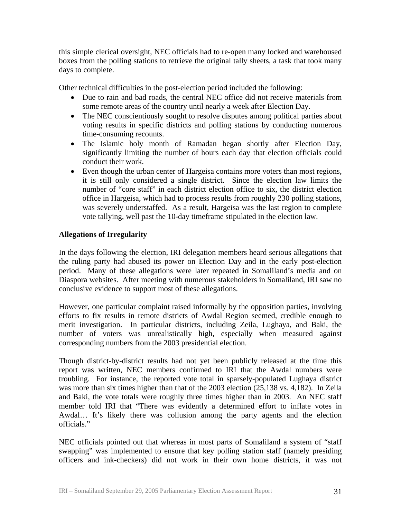this simple clerical oversight, NEC officials had to re-open many locked and warehoused boxes from the polling stations to retrieve the original tally sheets, a task that took many days to complete.

Other technical difficulties in the post-election period included the following:

- Due to rain and bad roads, the central NEC office did not receive materials from some remote areas of the country until nearly a week after Election Day.
- The NEC conscientiously sought to resolve disputes among political parties about voting results in specific districts and polling stations by conducting numerous time-consuming recounts.
- The Islamic holy month of Ramadan began shortly after Election Day, significantly limiting the number of hours each day that election officials could conduct their work.
- Even though the urban center of Hargeisa contains more voters than most regions, it is still only considered a single district. Since the election law limits the number of "core staff" in each district election office to six, the district election office in Hargeisa, which had to process results from roughly 230 polling stations, was severely understaffed. As a result, Hargeisa was the last region to complete vote tallying, well past the 10-day timeframe stipulated in the election law.

## **Allegations of Irregularity**

In the days following the election, IRI delegation members heard serious allegations that the ruling party had abused its power on Election Day and in the early post-election period. Many of these allegations were later repeated in Somaliland's media and on Diaspora websites. After meeting with numerous stakeholders in Somaliland, IRI saw no conclusive evidence to support most of these allegations.

However, one particular complaint raised informally by the opposition parties, involving efforts to fix results in remote districts of Awdal Region seemed, credible enough to merit investigation. In particular districts, including Zeila, Lughaya, and Baki, the number of voters was unrealistically high, especially when measured against corresponding numbers from the 2003 presidential election.

Though district-by-district results had not yet been publicly released at the time this report was written, NEC members confirmed to IRI that the Awdal numbers were troubling. For instance, the reported vote total in sparsely-populated Lughaya district was more than six times higher than that of the 2003 election (25,138 vs. 4,182). In Zeila and Baki, the vote totals were roughly three times higher than in 2003. An NEC staff member told IRI that "There was evidently a determined effort to inflate votes in Awdal… It's likely there was collusion among the party agents and the election officials."

NEC officials pointed out that whereas in most parts of Somaliland a system of "staff swapping" was implemented to ensure that key polling station staff (namely presiding officers and ink-checkers) did not work in their own home districts, it was not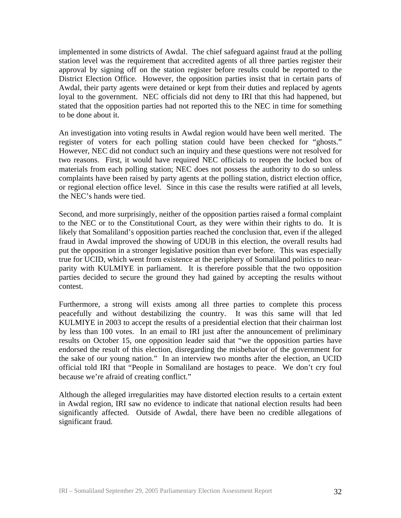implemented in some districts of Awdal. The chief safeguard against fraud at the polling station level was the requirement that accredited agents of all three parties register their approval by signing off on the station register before results could be reported to the District Election Office. However, the opposition parties insist that in certain parts of Awdal, their party agents were detained or kept from their duties and replaced by agents loyal to the government. NEC officials did not deny to IRI that this had happened, but stated that the opposition parties had not reported this to the NEC in time for something to be done about it.

An investigation into voting results in Awdal region would have been well merited. The register of voters for each polling station could have been checked for "ghosts." However, NEC did not conduct such an inquiry and these questions were not resolved for two reasons. First, it would have required NEC officials to reopen the locked box of materials from each polling station; NEC does not possess the authority to do so unless complaints have been raised by party agents at the polling station, district election office, or regional election office level. Since in this case the results were ratified at all levels, the NEC's hands were tied.

Second, and more surprisingly, neither of the opposition parties raised a formal complaint to the NEC or to the Constitutional Court, as they were within their rights to do. It is likely that Somaliland's opposition parties reached the conclusion that, even if the alleged fraud in Awdal improved the showing of UDUB in this election, the overall results had put the opposition in a stronger legislative position than ever before. This was especially true for UCID, which went from existence at the periphery of Somaliland politics to nearparity with KULMIYE in parliament. It is therefore possible that the two opposition parties decided to secure the ground they had gained by accepting the results without contest.

Furthermore, a strong will exists among all three parties to complete this process peacefully and without destabilizing the country. It was this same will that led KULMIYE in 2003 to accept the results of a presidential election that their chairman lost by less than 100 votes. In an email to IRI just after the announcement of preliminary results on October 15, one opposition leader said that "we the opposition parties have endorsed the result of this election, disregarding the misbehavior of the government for the sake of our young nation." In an interview two months after the election, an UCID official told IRI that "People in Somaliland are hostages to peace. We don't cry foul because we're afraid of creating conflict."

Although the alleged irregularities may have distorted election results to a certain extent in Awdal region, IRI saw no evidence to indicate that national election results had been significantly affected. Outside of Awdal, there have been no credible allegations of significant fraud.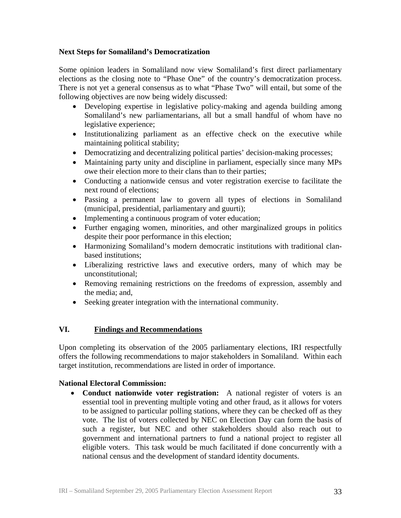## **Next Steps for Somaliland's Democratization**

Some opinion leaders in Somaliland now view Somaliland's first direct parliamentary elections as the closing note to "Phase One" of the country's democratization process. There is not yet a general consensus as to what "Phase Two" will entail, but some of the following objectives are now being widely discussed:

- Developing expertise in legislative policy-making and agenda building among Somaliland's new parliamentarians, all but a small handful of whom have no legislative experience;
- Institutionalizing parliament as an effective check on the executive while maintaining political stability;
- Democratizing and decentralizing political parties' decision-making processes;
- Maintaining party unity and discipline in parliament, especially since many MPs owe their election more to their clans than to their parties;
- Conducting a nationwide census and voter registration exercise to facilitate the next round of elections;
- Passing a permanent law to govern all types of elections in Somaliland (municipal, presidential, parliamentary and guurti);
- Implementing a continuous program of voter education;
- Further engaging women, minorities, and other marginalized groups in politics despite their poor performance in this election;
- Harmonizing Somaliland's modern democratic institutions with traditional clanbased institutions;
- Liberalizing restrictive laws and executive orders, many of which may be unconstitutional;
- Removing remaining restrictions on the freedoms of expression, assembly and the media; and,
- Seeking greater integration with the international community.

## **VI. Findings and Recommendations**

Upon completing its observation of the 2005 parliamentary elections, IRI respectfully offers the following recommendations to major stakeholders in Somaliland. Within each target institution, recommendations are listed in order of importance.

## **National Electoral Commission:**

• **Conduct nationwide voter registration:** A national register of voters is an essential tool in preventing multiple voting and other fraud, as it allows for voters to be assigned to particular polling stations, where they can be checked off as they vote. The list of voters collected by NEC on Election Day can form the basis of such a register, but NEC and other stakeholders should also reach out to government and international partners to fund a national project to register all eligible voters. This task would be much facilitated if done concurrently with a national census and the development of standard identity documents.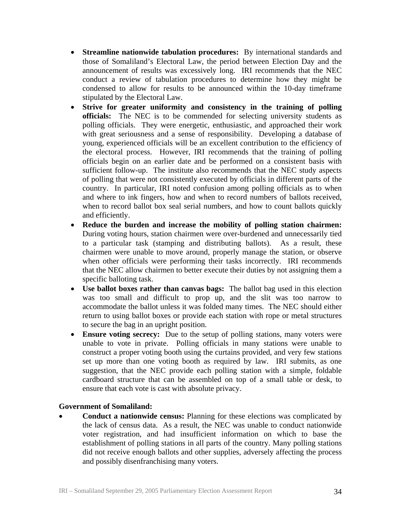- **Streamline nationwide tabulation procedures:** By international standards and those of Somaliland's Electoral Law, the period between Election Day and the announcement of results was excessively long. IRI recommends that the NEC conduct a review of tabulation procedures to determine how they might be condensed to allow for results to be announced within the 10-day timeframe stipulated by the Electoral Law.
- **Strive for greater uniformity and consistency in the training of polling officials:** The NEC is to be commended for selecting university students as polling officials. They were energetic, enthusiastic, and approached their work with great seriousness and a sense of responsibility. Developing a database of young, experienced officials will be an excellent contribution to the efficiency of the electoral process. However, IRI recommends that the training of polling officials begin on an earlier date and be performed on a consistent basis with sufficient follow-up. The institute also recommends that the NEC study aspects of polling that were not consistently executed by officials in different parts of the country. In particular, IRI noted confusion among polling officials as to when and where to ink fingers, how and when to record numbers of ballots received, when to record ballot box seal serial numbers, and how to count ballots quickly and efficiently.
- **Reduce the burden and increase the mobility of polling station chairmen:**  During voting hours, station chairmen were over-burdened and unnecessarily tied to a particular task (stamping and distributing ballots). As a result, these chairmen were unable to move around, properly manage the station, or observe when other officials were performing their tasks incorrectly. IRI recommends that the NEC allow chairmen to better execute their duties by not assigning them a specific balloting task.
- **Use ballot boxes rather than canvas bags:** The ballot bag used in this election was too small and difficult to prop up, and the slit was too narrow to accommodate the ballot unless it was folded many times. The NEC should either return to using ballot boxes or provide each station with rope or metal structures to secure the bag in an upright position.
- **Ensure voting secrecy:** Due to the setup of polling stations, many voters were unable to vote in private. Polling officials in many stations were unable to construct a proper voting booth using the curtains provided, and very few stations set up more than one voting booth as required by law. IRI submits, as one suggestion, that the NEC provide each polling station with a simple, foldable cardboard structure that can be assembled on top of a small table or desk, to ensure that each vote is cast with absolute privacy.

#### **Government of Somaliland:**

• **Conduct a nationwide census:** Planning for these elections was complicated by the lack of census data. As a result, the NEC was unable to conduct nationwide voter registration, and had insufficient information on which to base the establishment of polling stations in all parts of the country. Many polling stations did not receive enough ballots and other supplies, adversely affecting the process and possibly disenfranchising many voters.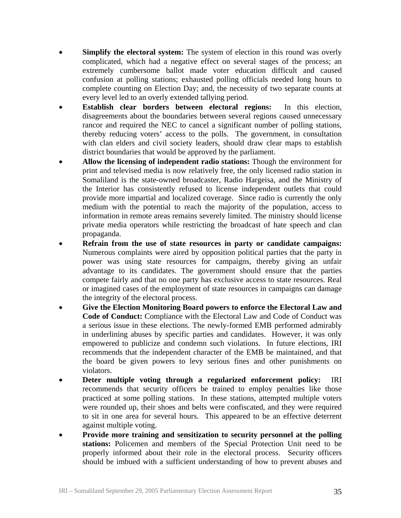- **Simplify the electoral system:** The system of election in this round was overly complicated, which had a negative effect on several stages of the process; an extremely cumbersome ballot made voter education difficult and caused confusion at polling stations; exhausted polling officials needed long hours to complete counting on Election Day; and, the necessity of two separate counts at every level led to an overly extended tallying period.
- **Establish clear borders between electoral regions:** In this election, disagreements about the boundaries between several regions caused unnecessary rancor and required the NEC to cancel a significant number of polling stations, thereby reducing voters' access to the polls. The government, in consultation with clan elders and civil society leaders, should draw clear maps to establish district boundaries that would be approved by the parliament.
- **Allow the licensing of independent radio stations:** Though the environment for print and televised media is now relatively free, the only licensed radio station in Somaliland is the state-owned broadcaster, Radio Hargeisa, and the Ministry of the Interior has consistently refused to license independent outlets that could provide more impartial and localized coverage. Since radio is currently the only medium with the potential to reach the majority of the population, access to information in remote areas remains severely limited. The ministry should license private media operators while restricting the broadcast of hate speech and clan propaganda.
- **Refrain from the use of state resources in party or candidate campaigns:** Numerous complaints were aired by opposition political parties that the party in power was using state resources for campaigns, thereby giving an unfair advantage to its candidates. The government should ensure that the parties compete fairly and that no one party has exclusive access to state resources. Real or imagined cases of the employment of state resources in campaigns can damage the integrity of the electoral process.
- **Give the Election Monitoring Board powers to enforce the Electoral Law and Code of Conduct:** Compliance with the Electoral Law and Code of Conduct was a serious issue in these elections. The newly-formed EMB performed admirably in underlining abuses by specific parties and candidates. However, it was only empowered to publicize and condemn such violations. In future elections, IRI recommends that the independent character of the EMB be maintained, and that the board be given powers to levy serious fines and other punishments on violators.
- **Deter multiple voting through a regularized enforcement policy:** IRI recommends that security officers be trained to employ penalties like those practiced at some polling stations. In these stations, attempted multiple voters were rounded up, their shoes and belts were confiscated, and they were required to sit in one area for several hours. This appeared to be an effective deterrent against multiple voting.
- **Provide more training and sensitization to security personnel at the polling stations:** Policemen and members of the Special Protection Unit need to be properly informed about their role in the electoral process. Security officers should be imbued with a sufficient understanding of how to prevent abuses and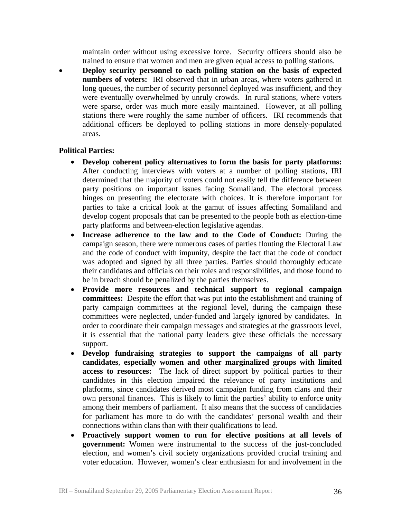maintain order without using excessive force. Security officers should also be trained to ensure that women and men are given equal access to polling stations.

• **Deploy security personnel to each polling station on the basis of expected numbers of voters:** IRI observed that in urban areas, where voters gathered in long queues, the number of security personnel deployed was insufficient, and they were eventually overwhelmed by unruly crowds. In rural stations, where voters were sparse, order was much more easily maintained. However, at all polling stations there were roughly the same number of officers. IRI recommends that additional officers be deployed to polling stations in more densely-populated areas.

#### **Political Parties:**

- **Develop coherent policy alternatives to form the basis for party platforms:** After conducting interviews with voters at a number of polling stations, IRI determined that the majority of voters could not easily tell the difference between party positions on important issues facing Somaliland. The electoral process hinges on presenting the electorate with choices. It is therefore important for parties to take a critical look at the gamut of issues affecting Somaliland and develop cogent proposals that can be presented to the people both as election-time party platforms and between-election legislative agendas.
- **Increase adherence to the law and to the Code of Conduct:** During the campaign season, there were numerous cases of parties flouting the Electoral Law and the code of conduct with impunity, despite the fact that the code of conduct was adopted and signed by all three parties. Parties should thoroughly educate their candidates and officials on their roles and responsibilities, and those found to be in breach should be penalized by the parties themselves.
- **Provide more resources and technical support to regional campaign committees:** Despite the effort that was put into the establishment and training of party campaign committees at the regional level, during the campaign these committees were neglected, under-funded and largely ignored by candidates. In order to coordinate their campaign messages and strategies at the grassroots level, it is essential that the national party leaders give these officials the necessary support.
- **Develop fundraising strategies to support the campaigns of all party candidates**, **especially women and other marginalized groups with limited access to resources:** The lack of direct support by political parties to their candidates in this election impaired the relevance of party institutions and platforms, since candidates derived most campaign funding from clans and their own personal finances. This is likely to limit the parties' ability to enforce unity among their members of parliament. It also means that the success of candidacies for parliament has more to do with the candidates' personal wealth and their connections within clans than with their qualifications to lead.
- **Proactively support women to run for elective positions at all levels of government:** Women were instrumental to the success of the just-concluded election, and women's civil society organizations provided crucial training and voter education. However, women's clear enthusiasm for and involvement in the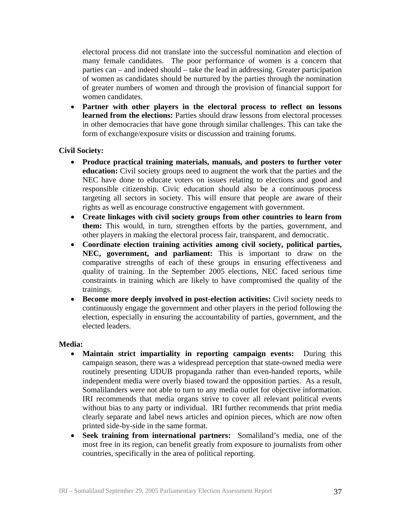electoral process did not translate into the successful nomination and election of many female candidates. The poor performance of women is a concern that parties can – and indeed should – take the lead in addressing. Greater participation of women as candidates should be nurtured by the parties through the nomination of greater numbers of women and through the provision of financial support for women candidates.

• **Partner with other players in the electoral process to reflect on lessons learned from the elections:** Parties should draw lessons from electoral processes in other democracies that have gone through similar challenges. This can take the form of exchange/exposure visits or discussion and training forums.

### **Civil Society:**

- **Produce practical training materials, manuals, and posters to further voter education:** Civil society groups need to augment the work that the parties and the NEC have done to educate voters on issues relating to elections and good and responsible citizenship. Civic education should also be a continuous process targeting all sectors in society. This will ensure that people are aware of their rights as well as encourage constructive engagement with government.
- **Create linkages with civil society groups from other countries to learn from them:** This would, in turn, strengthen efforts by the parties, government, and other players in making the electoral process fair, transparent, and democratic.
- **Coordinate election training activities among civil society, political parties, NEC, government, and parliament:** This is important to draw on the comparative strengths of each of these groups in ensuring effectiveness and quality of training. In the September 2005 elections, NEC faced serious time constraints in training which are likely to have compromised the quality of the trainings.
- **Become more deeply involved in post-election activities:** Civil society needs to continuously engage the government and other players in the period following the election, especially in ensuring the accountability of parties, government, and the elected leaders.

#### **Media:**

- **Maintain strict impartiality in reporting campaign events:** During this campaign season, there was a widespread perception that state-owned media were routinely presenting UDUB propaganda rather than even-handed reports, while independent media were overly biased toward the opposition parties. As a result, Somalilanders were not able to turn to any media outlet for objective information. IRI recommends that media organs strive to cover all relevant political events without bias to any party or individual. IRI further recommends that print media clearly separate and label news articles and opinion pieces, which are now often printed side-by-side in the same format.
- **Seek training from international partners:**Somaliland's media, one of the most free in its region, can benefit greatly from exposure to journalists from other countries, specifically in the area of political reporting.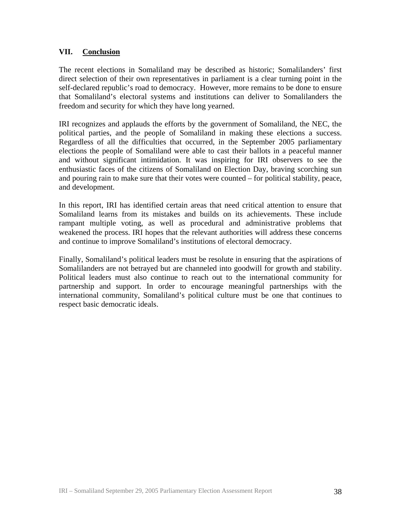## **VII. Conclusion**

The recent elections in Somaliland may be described as historic; Somalilanders' first direct selection of their own representatives in parliament is a clear turning point in the self-declared republic's road to democracy. However, more remains to be done to ensure that Somaliland's electoral systems and institutions can deliver to Somalilanders the freedom and security for which they have long yearned.

IRI recognizes and applauds the efforts by the government of Somaliland, the NEC, the political parties, and the people of Somaliland in making these elections a success. Regardless of all the difficulties that occurred, in the September 2005 parliamentary elections the people of Somaliland were able to cast their ballots in a peaceful manner and without significant intimidation. It was inspiring for IRI observers to see the enthusiastic faces of the citizens of Somaliland on Election Day, braving scorching sun and pouring rain to make sure that their votes were counted – for political stability, peace, and development.

In this report, IRI has identified certain areas that need critical attention to ensure that Somaliland learns from its mistakes and builds on its achievements. These include rampant multiple voting, as well as procedural and administrative problems that weakened the process. IRI hopes that the relevant authorities will address these concerns and continue to improve Somaliland's institutions of electoral democracy.

Finally, Somaliland's political leaders must be resolute in ensuring that the aspirations of Somalilanders are not betrayed but are channeled into goodwill for growth and stability. Political leaders must also continue to reach out to the international community for partnership and support. In order to encourage meaningful partnerships with the international community, Somaliland's political culture must be one that continues to respect basic democratic ideals.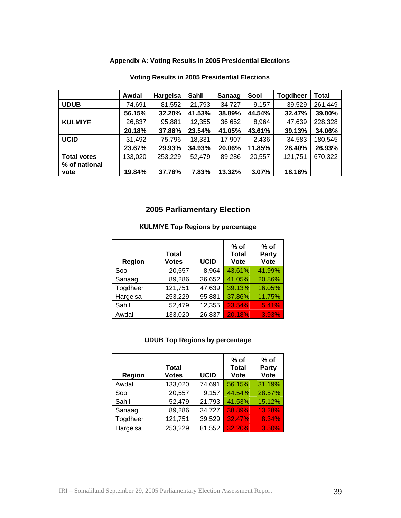## **Appendix A: Voting Results in 2005 Presidential Elections**

|                    | Awdal   | Hargeisa | Sahil  | <b>Sanaag</b> | Sool   | <b>Togdheer</b> | <b>Total</b> |
|--------------------|---------|----------|--------|---------------|--------|-----------------|--------------|
| <b>UDUB</b>        | 74,691  | 81,552   | 21,793 | 34,727        | 9,157  | 39,529          | 261,449      |
|                    | 56.15%  | 32.20%   | 41.53% | 38.89%        | 44.54% | 32.47%          | 39.00%       |
| <b>KULMIYE</b>     | 26,837  | 95,881   | 12,355 | 36,652        | 8,964  | 47,639          | 228,328      |
|                    | 20.18%  | 37.86%   | 23.54% | 41.05%        | 43.61% | 39.13%          | 34.06%       |
| <b>UCID</b>        | 31,492  | 75,796   | 18,331 | 17,907        | 2,436  | 34,583          | 180,545      |
|                    | 23.67%  | 29.93%   | 34.93% | 20.06%        | 11.85% | 28.40%          | 26.93%       |
| <b>Total votes</b> | 133,020 | 253,229  | 52,479 | 89,286        | 20,557 | 121,751         | 670,322      |
| % of national      |         |          |        |               |        |                 |              |
| vote               | 19.84%  | 37.78%   | 7.83%  | 13.32%        | 3.07%  | 18.16%          |              |

### **Voting Results in 2005 Presidential Elections**

# **2005 Parliamentary Election**

#### **KULMIYE Top Regions by percentage**

| Region   | <b>Total</b><br><b>Votes</b> | <b>UCID</b> | % of<br><b>Total</b><br><b>Vote</b> | $%$ of<br>Party<br><b>Vote</b> |
|----------|------------------------------|-------------|-------------------------------------|--------------------------------|
| Sool     | 20,557                       | 8,964       | 43.61%                              | 41.99%                         |
| Sanaag   | 89,286                       | 36,652      | 41.05%                              | 20.86%                         |
| Togdheer | 121,751                      | 47,639      | 39.13%                              | 16.05%                         |
| Hargeisa | 253,229                      | 95,881      | 37.86%                              | 11.75%                         |
| Sahil    | 52,479                       | 12,355      | 23.54%                              | 5.41%                          |
| Awdal    | 133,020                      | 26,837      | 20.18%                              | 3.93%                          |

## **UDUB Top Regions by percentage**

| Region   | <b>Total</b><br><b>Votes</b> | <b>UCID</b> | $%$ of<br><b>Total</b><br>Vote | $%$ of<br>Party<br><b>Vote</b> |
|----------|------------------------------|-------------|--------------------------------|--------------------------------|
| Awdal    | 133,020                      | 74,691      | 56.15%                         | 31.19%                         |
| Sool     | 20,557                       | 9,157       | 44.54%                         | 28.57%                         |
| Sahil    | 52,479                       | 21,793      | 41.53%                         | 15.12%                         |
| Sanaag   | 89,286                       | 34,727      | 38.89%                         | 13.28%                         |
| Togdheer | 121,751                      | 39,529      | 32.47%                         | 8.34%                          |
| Hargeisa | 253,229                      | 81,552      | 32.20%                         | 3.50%                          |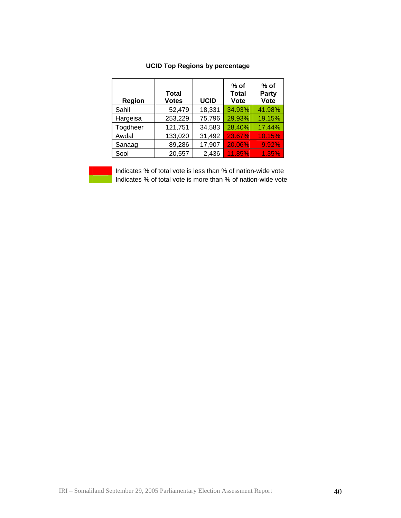| Region   | <b>Total</b><br><b>Votes</b> | <b>UCID</b> | $%$ of<br><b>Total</b><br>Vote | $%$ of<br>Party<br>Vote |
|----------|------------------------------|-------------|--------------------------------|-------------------------|
| Sahil    | 52,479                       | 18,331      | 34.93%                         | 41.98%                  |
| Hargeisa | 253,229                      | 75,796      | 29.93%                         | 19.15%                  |
| Togdheer | 121,751                      | 34,583      | 28.40%                         | 17.44%                  |
| Awdal    | 133,020                      | 31,492      | 23.67%                         | 10.15%                  |
| Sanaag   | 89,286                       | 17,907      | 20.06%                         | 9.92%                   |
| Sool     | 20,557                       | 2,436       | 11.85%                         | 1.35%                   |

### **UCID Top Regions by percentage**

 Indicates % of total vote is less than % of nation-wide vote Indicates % of total vote is more than % of nation-wide vote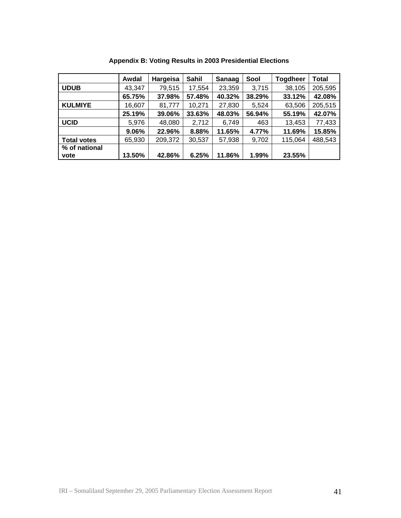|                    | Awdal  | Hargeisa | Sahil  | Sanaag | Sool   | <b>Togdheer</b> | <b>Total</b> |
|--------------------|--------|----------|--------|--------|--------|-----------------|--------------|
| <b>UDUB</b>        | 43,347 | 79,515   | 17,554 | 23,359 | 3,715  | 38,105          | 205,595      |
|                    | 65.75% | 37.98%   | 57.48% | 40.32% | 38.29% | 33.12%          | 42.08%       |
| <b>KULMIYE</b>     | 16,607 | 81,777   | 10,271 | 27,830 | 5,524  | 63,506          | 205,515      |
|                    | 25.19% | 39.06%   | 33.63% | 48.03% | 56.94% | 55.19%          | 42.07%       |
| <b>UCID</b>        | 5,976  | 48,080   | 2,712  | 6,749  | 463    | 13,453          | 77,433       |
|                    | 9.06%  | 22.96%   | 8.88%  | 11.65% | 4.77%  | 11.69%          | 15.85%       |
| <b>Total votes</b> | 65,930 | 209,372  | 30,537 | 57,938 | 9,702  | 115,064         | 488,543      |
| % of national      |        |          |        |        |        |                 |              |
| vote               | 13.50% | 42.86%   | 6.25%  | 11.86% | 1.99%  | 23.55%          |              |

**Appendix B: Voting Results in 2003 Presidential Elections**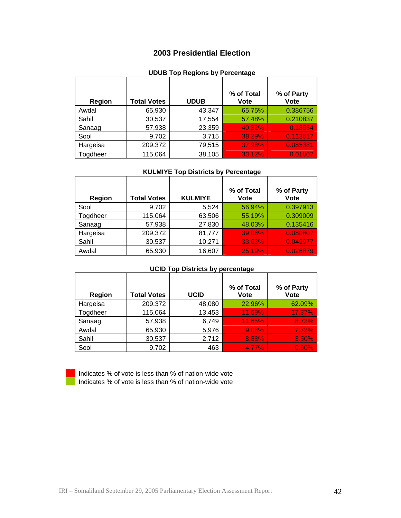## **2003 Presidential Election**

## **UDUB Top Regions by Percentage**

| Region   | <b>Total Votes</b> | <b>UDUB</b> | % of Total<br><b>Vote</b> | % of Party<br><b>Vote</b> |
|----------|--------------------|-------------|---------------------------|---------------------------|
| Awdal    | 65,930             | 43,347      | 65.75%                    | 0.386756                  |
| Sahil    | 30,537             | 17,554      | 57.48%                    | 0.210837                  |
| Sanaag   | 57,938             | 23,359      | 40.32%                    | 0.18534                   |
| Sool     | 9,702              | 3,715       | 38.29%                    | 0.113617                  |
| Hargeisa | 209,372            | 79,515      | 37.98%                    | 0.085381                  |
| Togdheer | 115,064            | 38,105      | 33.12%                    | 0.01807                   |

#### **KULMIYE Top Districts by Percentage**

| Region   | <b>Total Votes</b> | <b>KULMIYE</b> | % of Total<br><b>Vote</b> | % of Party<br><b>Vote</b> |
|----------|--------------------|----------------|---------------------------|---------------------------|
| Sool     | 9,702              | 5,524          | 56.94%                    | 0.397913                  |
| Togdheer | 115,064            | 63,506         | 55.19%                    | 0.309009                  |
| Sanaag   | 57,938             | 27,830         | 48.03%                    | 0.135416                  |
| Hargeisa | 209,372            | 81,777         | 39.06%                    | 0.080807                  |
| Sahil    | 30,537             | 10,271         | 33.63%                    | 0.049977                  |
| Awdal    | 65,930             | 16,607         | 25.19%                    | 0.026879                  |

#### **UCID Top Districts by percentage**

| <b>Region</b> | <b>Total Votes</b> | <b>UCID</b> | % of Total<br>Vote | % of Party<br><b>Vote</b> |
|---------------|--------------------|-------------|--------------------|---------------------------|
| Hargeisa      | 209,372            | 48,080      | 22.96%             | 62.09%                    |
| Togdheer      | 115,064            | 13,453      | 11.69%             | 17.37%                    |
| Sanaag        | 57,938             | 6,749       | 11.65%             | 8.72%                     |
| Awdal         | 65,930             | 5,976       | 9.06%              | 7.72%                     |
| Sahil         | 30,537             | 2,712       | 8.88%              | 3.50%                     |
| Sool          | 9,702              | 463         | 4.77%              | 0.60%                     |

| . . |  |
|-----|--|
|     |  |
|     |  |
|     |  |
|     |  |
|     |  |
|     |  |
|     |  |
|     |  |
|     |  |
|     |  |

 Indicates % of vote is less than % of nation-wide vote Indicates % of vote is less than % of nation-wide vote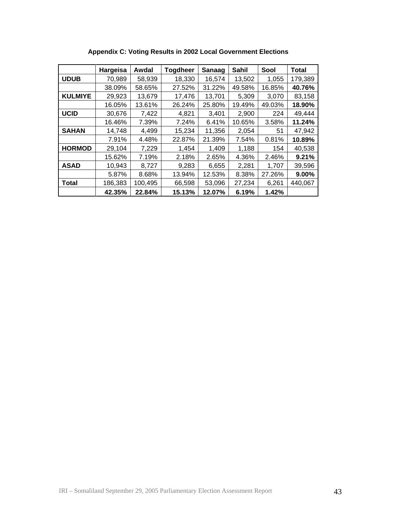|                | Hargeisa | Awdal   | <b>Togdheer</b> | Sanaag | Sahil  | Sool   | <b>Total</b> |
|----------------|----------|---------|-----------------|--------|--------|--------|--------------|
| <b>UDUB</b>    | 70,989   | 58,939  | 18,330          | 16,574 | 13,502 | 1,055  | 179,389      |
|                | 38.09%   | 58.65%  | 27.52%          | 31.22% | 49.58% | 16.85% | 40.76%       |
| <b>KULMIYE</b> | 29,923   | 13,679  | 17,476          | 13,701 | 5,309  | 3,070  | 83,158       |
|                | 16.05%   | 13.61%  | 26.24%          | 25.80% | 19.49% | 49.03% | 18.90%       |
| <b>UCID</b>    | 30,676   | 7,422   | 4,821           | 3,401  | 2,900  | 224    | 49,444       |
|                | 16.46%   | 7.39%   | 7.24%           | 6.41%  | 10.65% | 3.58%  | 11.24%       |
| <b>SAHAN</b>   | 14,748   | 4,499   | 15,234          | 11,356 | 2,054  | 51     | 47,942       |
|                | 7.91%    | 4.48%   | 22.87%          | 21.39% | 7.54%  | 0.81%  | 10.89%       |
| <b>HORMOD</b>  | 29,104   | 7,229   | 1,454           | 1,409  | 1,188  | 154    | 40,538       |
|                | 15.62%   | 7.19%   | 2.18%           | 2.65%  | 4.36%  | 2.46%  | 9.21%        |
| <b>ASAD</b>    | 10,943   | 8,727   | 9,283           | 6,655  | 2,281  | 1,707  | 39,596       |
|                | 5.87%    | 8.68%   | 13.94%          | 12.53% | 8.38%  | 27.26% | 9.00%        |
| <b>Total</b>   | 186,383  | 100,495 | 66,598          | 53,096 | 27,234 | 6,261  | 440,067      |
|                | 42.35%   | 22.84%  | 15.13%          | 12.07% | 6.19%  | 1.42%  |              |

**Appendix C: Voting Results in 2002 Local Government Elections**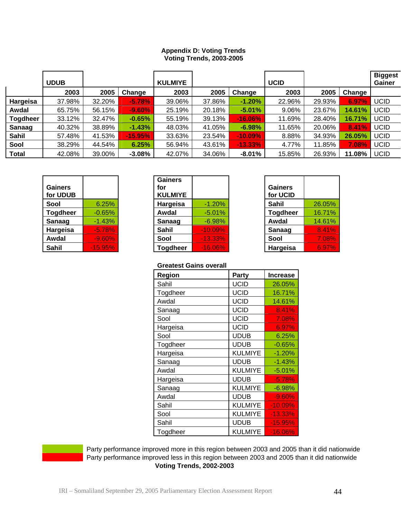| <b>Appendix D: Voting Trends</b> |
|----------------------------------|
| <b>Voting Trends, 2003-2005</b>  |

|                 | <b>UDUB</b> |        |           | <b>KULMIYE</b> |        |            | <b>UCID</b> |        |        | <b>Biggest</b><br>Gainer |
|-----------------|-------------|--------|-----------|----------------|--------|------------|-------------|--------|--------|--------------------------|
|                 | 2003        | 2005   | Change    | 2003           | 2005   | Change     | 2003        | 2005   | Change |                          |
| Hargeisa        | 37.98%      | 32.20% | $-5.78%$  | 39.06%         | 37.86% | $-1.20%$   | 22.96%      | 29.93% | 6.97%  | <b>UCID</b>              |
| Awdal           | 65.75%      | 56.15% | $-9.60%$  | 25.19%         | 20.18% | $-5.01%$   | 9.06%       | 23.67% | 14.61% | UCID                     |
| <b>Togdheer</b> | 33.12%      | 32.47% | $-0.65%$  | 55.19%         | 39.13% | $-16.06%$  | 11.69%      | 28.40% | 16.71% | <b>UCID</b>              |
| Sanaag          | 40.32%      | 38.89% | $-1.43%$  | 48.03%         | 41.05% | $-6.98%$   | 11.65%      | 20.06% | 8.41%  | <b>UCID</b>              |
| <b>Sahil</b>    | 57.48%      | 41.53% | $-15.95%$ | 33.63%         | 23.54% | $-10.09%$  | 8.88%       | 34.93% | 26.05% | <b>UCID</b>              |
| Sool            | 38.29%      | 44.54% | 6.25%     | 56.94%         | 43.61% | $-13.33\%$ | 4.77%       | 11.85% | 7.08%  | <b>UCID</b>              |
| Total           | 42.08%      | 39.00% | $-3.08%$  | 42.07%         | 34.06% | $-8.01%$   | 15.85%      | 26.93% | 11.08% | <b>UCID</b>              |

| Gainers<br>for UDUB |          |
|---------------------|----------|
| Sool                | 6.25%    |
| <b>Togdheer</b>     | $-0.65%$ |
| Sanaag              | $-1.43%$ |
| Hargeisa            | $-5.78%$ |
| Awdal               | $-9.60%$ |
| Sahil               | -15.95%  |

| <b>Gainers</b><br>for UDUB |           | <b>Gainers</b><br>for<br><b>KULMIYE</b> |            | Gainers<br>for UCID |        |
|----------------------------|-----------|-----------------------------------------|------------|---------------------|--------|
| Sool                       | 6.25%     | Hargeisa                                | $-1.20%$   | Sahil               | 26.05% |
| <b>Togdheer</b>            | $-0.65%$  | Awdal                                   | $-5.01%$   | <b>Togdheer</b>     | 16.71% |
| Sanaag                     | $-1.43%$  | <b>Sanaag</b>                           | $-6.98%$   | Awdal               | 14.61% |
| Hargeisa                   | $-5.78%$  | Sahil                                   | $-10.09%$  | Sanaag              | 8.41%  |
| Awdal                      | $-9.60%$  | Sool                                    | $-13.33%$  | Sool                | 7.08%  |
| Sahil                      | $-15.95%$ | <b>Togdheer</b>                         | $-16.06\%$ | Hargeisa            | 6.97%  |

| 26.05% |
|--------|
| 16.71% |
| 14.61% |
| 8.41%  |
| 7.08%  |
| 6.97%  |
|        |

#### **Greatest Gains overall**

| 010atoot Odinio 0701 am |  |          |  |
|-------------------------|--|----------|--|
| Party                   |  | Region   |  |
| <b>UCID</b>             |  | Sahil    |  |
| <b>UCID</b>             |  | Togdheer |  |
| <b>UCID</b>             |  | Awdal    |  |
| <b>UCID</b>             |  | Sanaag   |  |
| <b>UCID</b>             |  | Sool     |  |
| <b>UCID</b>             |  | Hargeisa |  |
| <b>UDUB</b>             |  | Sool     |  |
| <b>UDUB</b>             |  | Togdheer |  |
| <b>KULMIYE</b>          |  | Hargeisa |  |
| <b>UDUB</b>             |  | Sanaag   |  |
| <b>KULMIYE</b>          |  | Awdal    |  |
| <b>UDUB</b>             |  | Hargeisa |  |
| <b>KULMIYE</b>          |  | Sanaag   |  |
| <b>UDUB</b>             |  | Awdal    |  |
| <b>KULMIYE</b>          |  | Sahil    |  |
| <b>KULMIYE</b>          |  | Sool     |  |
| <b>UDUB</b>             |  | Sahil    |  |
| <b>KULMIYE</b>          |  | Togdheer |  |



 Party performance improved more in this region between 2003 and 2005 than it did nationwide Party performance improved less in this region between 2003 and 2005 than it did nationwide **Voting Trends, 2002-2003**